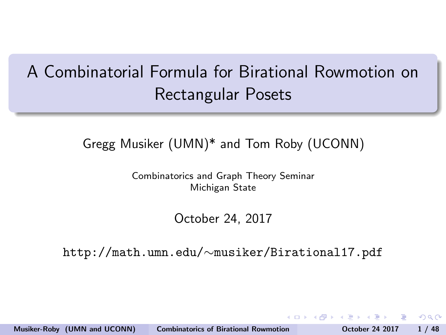# <span id="page-0-0"></span>A Combinatorial Formula for Birational Rowmotion on Rectangular Posets

### Gregg Musiker (UMN)\* and Tom Roby (UCONN)

Combinatorics and Graph Theory Seminar Michigan State

#### October 24, 2017

http://math.umn.edu/∼musiker/Birational17.pdf

Musiker-Roby (UMN and UCONN) [Combinatorics of Birational Rowmotion](#page-113-0) October 24 2017 1 / 48

 $\Omega$ 

医阿里氏菌 医下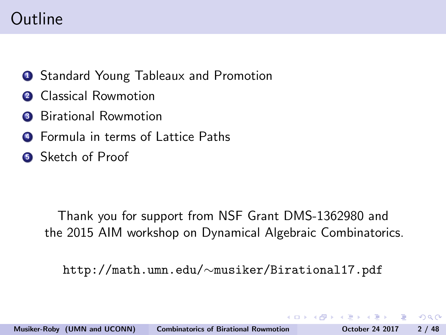# Outline

- **1** Standard Young Tableaux and Promotion
- **2** Classical Rowmotion
- **3** Birational Rowmotion
- **4** Formula in terms of Lattice Paths
- **6** Sketch of Proof

Thank you for support from NSF Grant DMS-1362980 and the 2015 AIM workshop on Dynamical Algebraic Combinatorics.

http://math.umn.edu/∼musiker/Birational17.pdf

ാം

**ADA 4 B 6 4 B 6**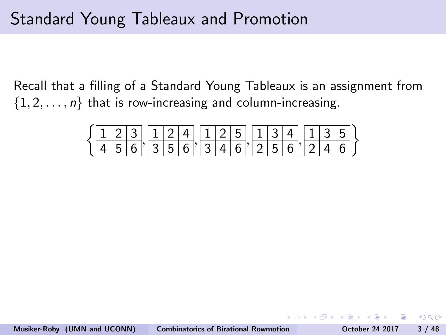### Standard Young Tableaux and Promotion

Recall that a filling of a Standard Young Tableaux is an assignment from  $\{1, 2, \ldots, n\}$  that is row-increasing and column-increasing.

|  |  |  | $\left[\frac{1}{2} \left  3 \right  \left  1 \right  2 \left  4 \right  \left  1 \right  2 \left  5 \right  \left  1 \right  3 \left  4 \right  \left  1 \right  3 \left  5 \right  \right]$                      |  |  |  |  |  |  |  |
|--|--|--|-------------------------------------------------------------------------------------------------------------------------------------------------------------------------------------------------------------------|--|--|--|--|--|--|--|
|  |  |  | $\frac{1}{4}$ $\frac{1}{5}$ $\frac{1}{6}$ $\frac{1}{3}$ $\frac{1}{5}$ $\frac{1}{6}$ $\frac{1}{2}$ $\frac{1}{4}$ $\frac{1}{6}$ $\frac{1}{2}$ $\frac{1}{2}$ $\frac{1}{6}$ $\frac{1}{2}$ $\frac{1}{4}$ $\frac{1}{2}$ |  |  |  |  |  |  |  |

- B

 $QQ$ 

**ADA 4 E 6 4 E 6**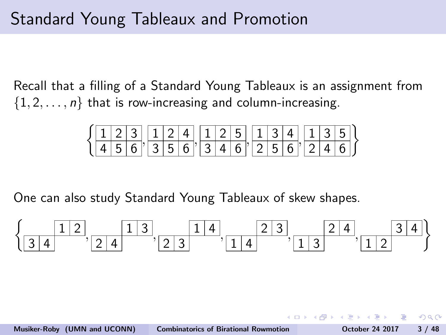### Standard Young Tableaux and Promotion

Recall that a filling of a Standard Young Tableaux is an assignment from  $\{1, 2, \ldots, n\}$  that is row-increasing and column-increasing.

$$
\left\{\frac{1}{4}\frac{2}{5}\frac{3}{6},\frac{1}{3}\frac{2}{5}\frac{4}{6},\frac{1}{3}\frac{2}{4}\frac{5}{6},\frac{1}{2}\frac{3}{5}\frac{4}{6},\frac{1}{2}\frac{3}{5}\frac{5}{6}\right\}
$$

One can also study Standard Young Tableaux of skew shapes.

$$
\left\{ \frac{1\,2}{3\,4}, \frac{1\,3}{2\,4}, \frac{1\,4}{2\,3}, \frac{1\,4}{1\,4}, \frac{2\,3}{1\,3}, \frac{2\,4}{1\,3}, \frac{3\,4}{1\,2} \right\}
$$

 $OQ$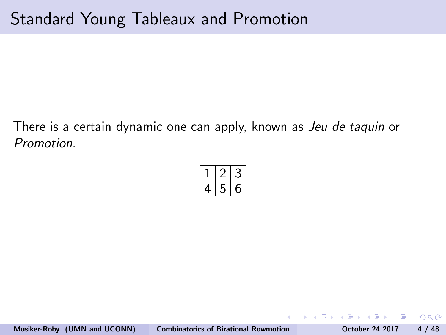- 3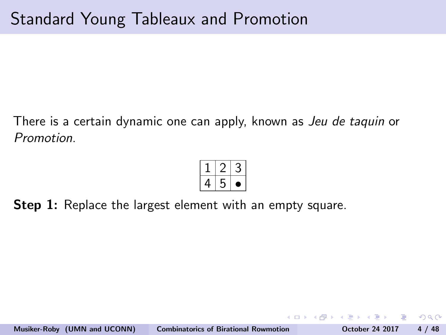**Step 1:** Replace the largest element with an empty square.

 $\Omega$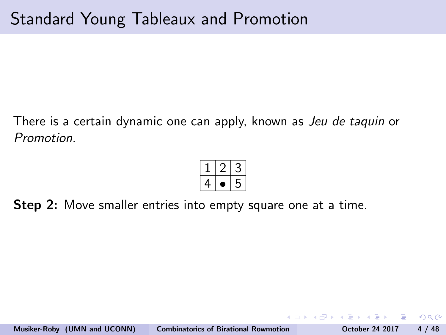**Step 2:** Move smaller entries into empty square one at a time.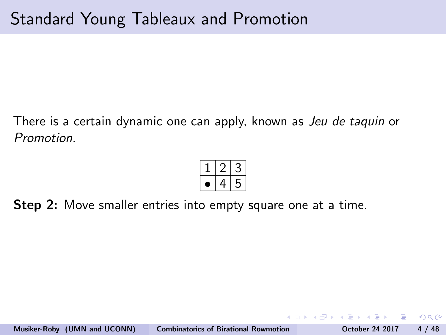**Step 2:** Move smaller entries into empty square one at a time.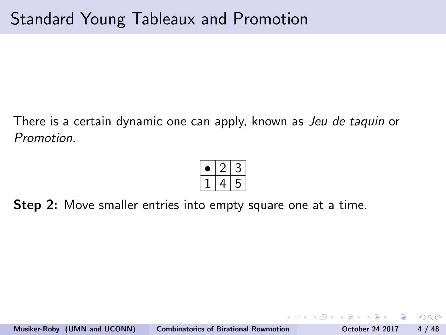**Step 2:** Move smaller entries into empty square one at a time.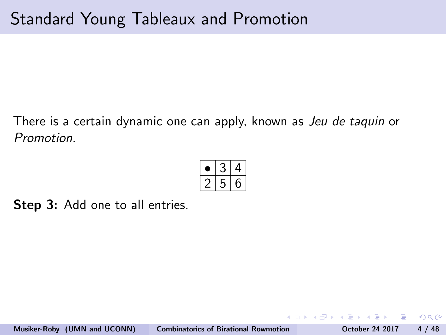Step 3: Add one to all entries.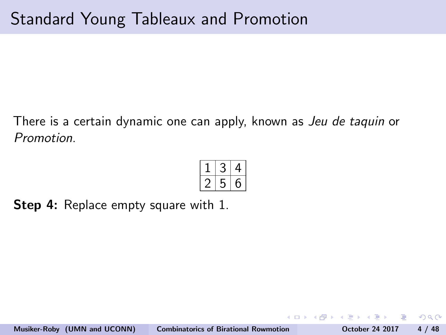**Step 4:** Replace empty square with 1.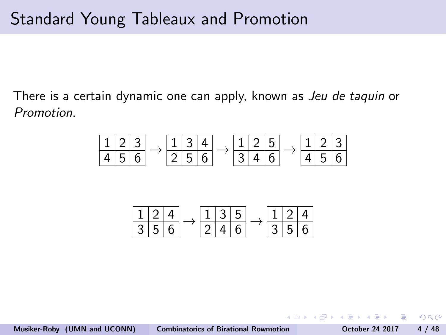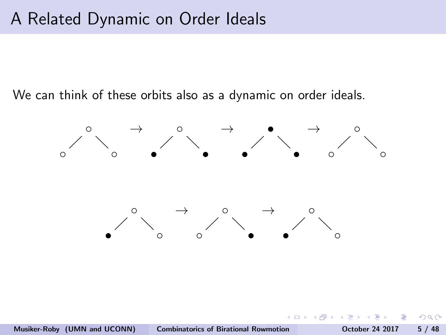### A Related Dynamic on Order Ideals

We can think of these orbits also as a dynamic on order ideals.



ാഹ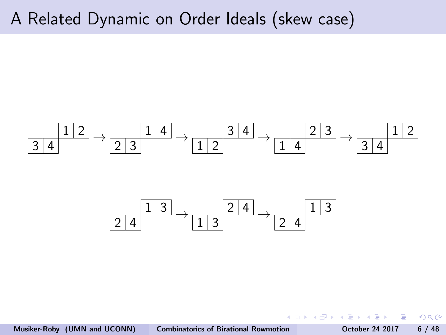### A Related Dynamic on Order Ideals (skew case)



Musiker-Roby (UMN and UCONN) [Combinatorics of Birational Rowmotion](#page-0-0) October 24 2017 6 / 48

重

 $-10.16$ 

 $QQ$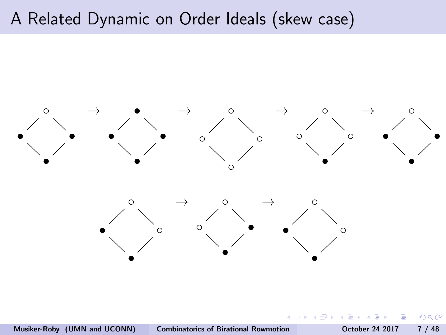### A Related Dynamic on Order Ideals (skew case)



 $\leftarrow$ 

つくい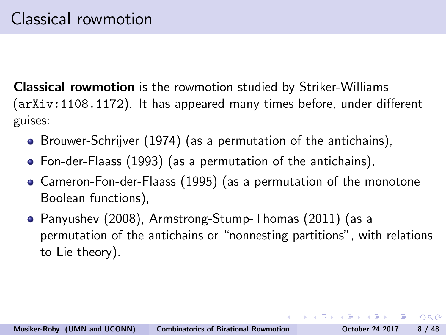Classical rowmotion is the rowmotion studied by Striker-Williams (arXiv:1108.1172). It has appeared many times before, under different guises:

- Brouwer-Schrijver (1974) (as a permutation of the antichains),
- Fon-der-Flaass (1993) (as a permutation of the antichains),
- Cameron-Fon-der-Flaass (1995) (as a permutation of the monotone Boolean functions),
- Panyushev (2008), Armstrong-Stump-Thomas (2011) (as a permutation of the antichains or "nonnesting partitions", with relations to Lie theory).

 $AB + AB + AB + AB$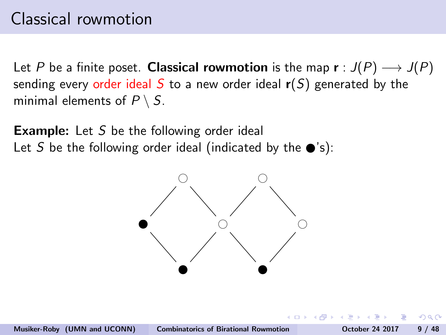Let P be a finite poset. Classical rowmotion is the map  $\mathbf{r}: J(P) \longrightarrow J(P)$ sending every order ideal S to a new order ideal  $r(S)$  generated by the minimal elements of  $P \setminus S$ .

**Example:** Let S be the following order ideal Let S be the following order ideal (indicated by the  $\bullet$ 's):

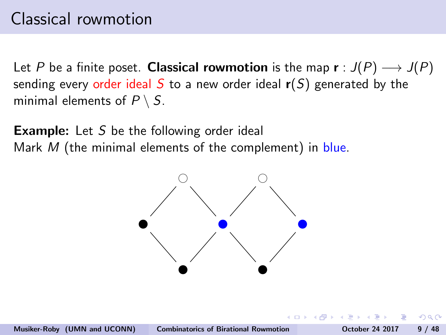Let P be a finite poset. Classical rowmotion is the map  $\mathbf{r}: J(P) \longrightarrow J(P)$ sending every order ideal S to a new order ideal  $r(S)$  generated by the minimal elements of  $P \setminus S$ .

**Example:** Let S be the following order ideal Mark  $M$  (the minimal elements of the complement) in blue.

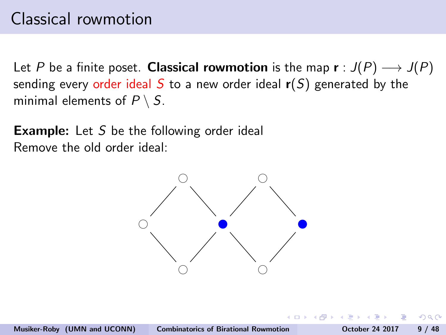Let P be a finite poset. Classical rowmotion is the map  $\mathbf{r}: J(P) \longrightarrow J(P)$ sending every order ideal S to a new order ideal  $r(S)$  generated by the minimal elements of  $P \setminus S$ .

**Example:** Let S be the following order ideal Remove the old order ideal:

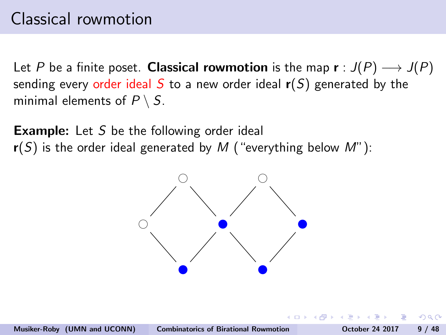Let P be a finite poset. Classical rowmotion is the map  $\mathbf{r}: J(P) \longrightarrow J(P)$ sending every order ideal S to a new order ideal  $r(S)$  generated by the minimal elements of  $P \setminus S$ .

**Example:** Let S be the following order ideal  $r(S)$  is the order ideal generated by M ("everything below M"):

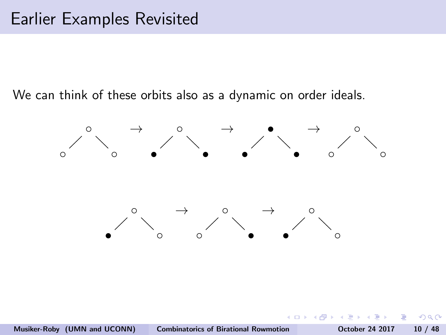We can think of these orbits also as a dynamic on order ideals.



 $\Omega$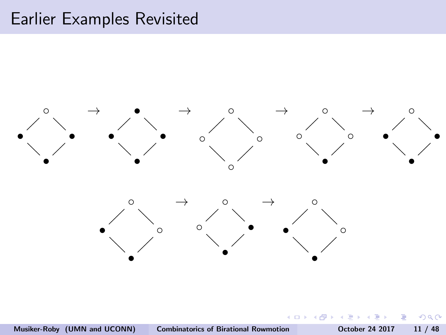### Earlier Examples Revisited



∍

 $QQ$ 

 $\leftarrow$   $\Box$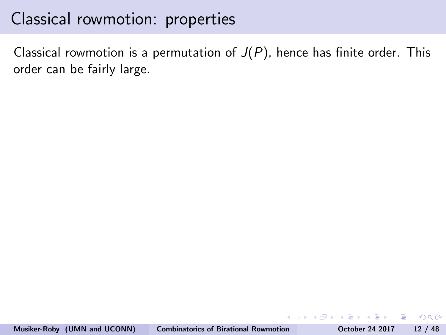Classical rowmotion is a permutation of  $J(P)$ , hence has finite order. This order can be fairly large.

**KORK ERKER ADAM DE SORA**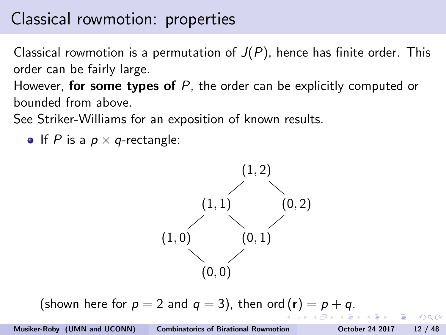Classical rowmotion is a permutation of  $J(P)$ , hence has finite order. This order can be fairly large.

However, **for some types of**  $P$ , the order can be explicitly computed or bounded from above.

See Striker-Williams for an exposition of known results.

• If P is a  $p \times q$ -rectangle:



(shown here for  $p = 2$  and  $q = 3$ ), then ord  $(r) = p + q$ .

 $QQ$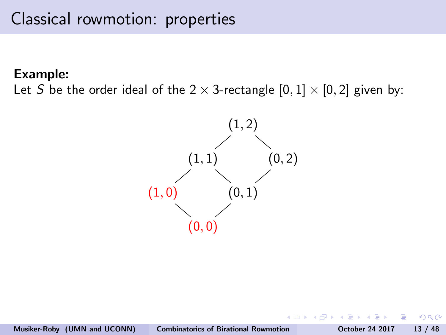#### Example:

Let S be the order ideal of the  $2 \times 3$ -rectangle  $[0, 1] \times [0, 2]$  given by:

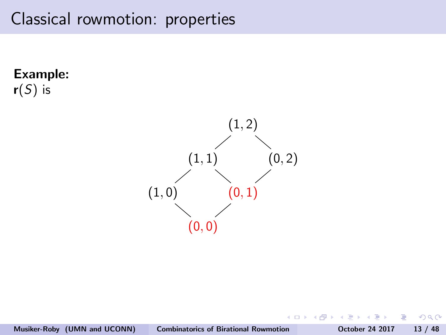Example:  $r(S)$  is



э

4日)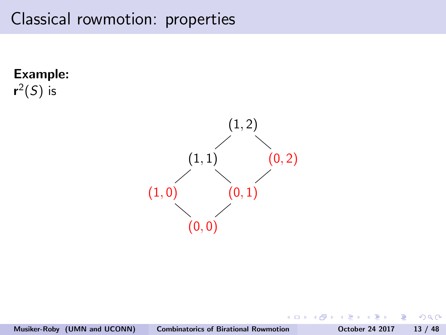Example:  $\mathsf{r}^2(\mathsf{S})$  is



э

4日)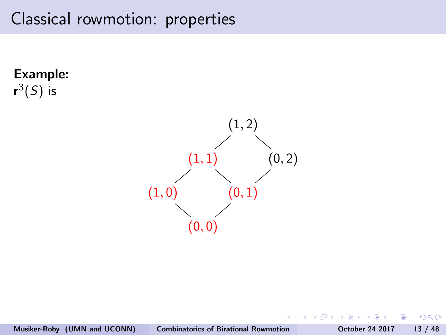Example:  $\mathsf{r}^3(\mathsf{S})$  is



э

4日)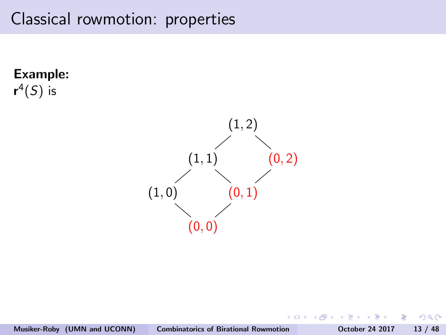Example:  $\mathsf{r}^4(\mathsf{S})$  is



э

4日)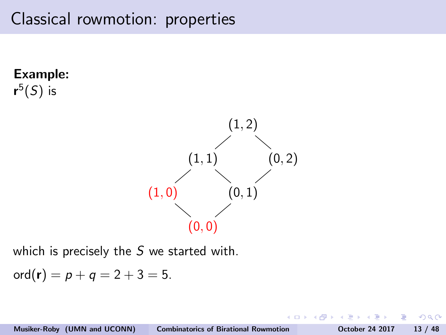Example:  $\mathsf{r}^5(\mathsf{S})$  is  $(1, 2)$  $(1, 1)$   $(0, 2)$  $(1, 0)$   $(0, 1)$  $(0, 0)$ 

which is precisely the S we started with.

 $\text{ord}(\mathbf{r}) = p + q = 2 + 3 = 5.$ 

 $\Omega$ 

 $\leftarrow$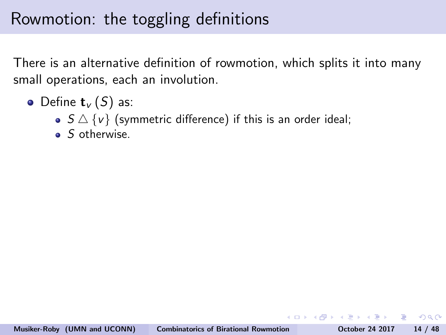### Rowmotion: the toggling definitions

There is an alternative definition of rowmotion, which splits it into many small operations, each an involution.

- Define  $\mathbf{t}_{v}(S)$  as:
	- $S \triangle \{v\}$  (symmetric difference) if this is an order ideal;
	- S otherwise.

 $\Omega$ 

母→ イヨ→ イヨ→ ニヨ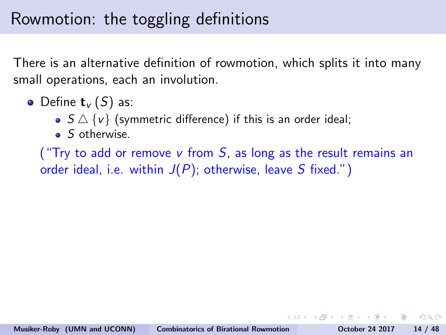### Rowmotion: the toggling definitions

There is an alternative definition of rowmotion, which splits it into many small operations, each an involution.

- Define  $\mathbf{t}_{\nu}(S)$  as:
	- $S \triangle \{v\}$  (symmetric difference) if this is an order ideal;
	- S otherwise.

("Try to add or remove v from  $S$ , as long as the result remains an order ideal, i.e. within  $J(P)$ ; otherwise, leave S fixed.")

ാഹ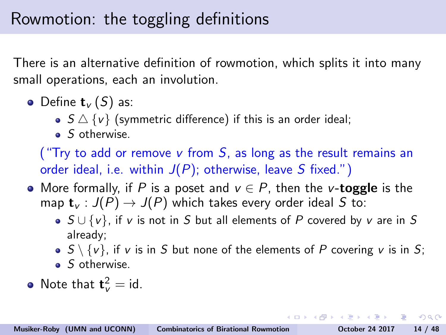# Rowmotion: the toggling definitions

There is an alternative definition of rowmotion, which splits it into many small operations, each an involution.

- Define  $\mathbf{t}_{\nu}(S)$  as:
	- $S \triangle \{v\}$  (symmetric difference) if this is an order ideal;
	- S otherwise.

("Try to add or remove v from  $S$ , as long as the result remains an order ideal, i.e. within  $J(P)$ ; otherwise, leave S fixed.")

- More formally, if P is a poset and  $v \in P$ , then the v-toggle is the map  $\mathbf{t}_{v} : J(P) \to J(P)$  which takes every order ideal S to:
	- $S \cup \{v\}$ , if v is not in S but all elements of P covered by v are in S already;
	- $S \setminus \{v\}$ , if v is in S but none of the elements of P covering v is in S;
	- $\bullet$  S otherwise.
- Note that  $\mathbf{t}_{v}^{2} = id$ .

**KORK EX KEY KEY YOUR**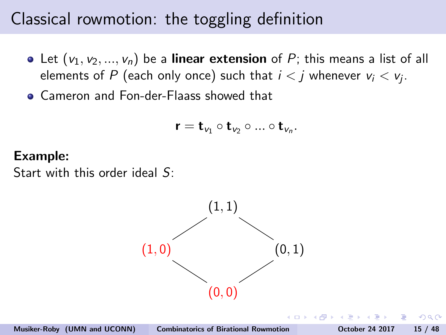# Classical rowmotion: the toggling definition

- Let  $(v_1, v_2, ..., v_n)$  be a linear extension of P; this means a list of all elements of  $P$  (each only once) such that  $i < j$  whenever  $v_i < v_j$ .
- **Cameron and Fon-der-Flaass showed that**

$$
\mathbf{r}=\mathbf{t}_{v_1}\circ \mathbf{t}_{v_2}\circ...\circ \mathbf{t}_{v_n}.
$$

#### Example:

Start with this order ideal S:

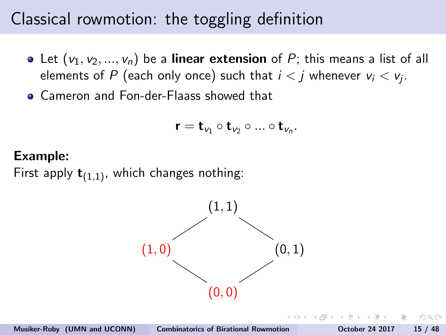# Classical rowmotion: the toggling definition

- Let  $(v_1, v_2, ..., v_n)$  be a linear extension of P; this means a list of all elements of  $P$  (each only once) such that  $i < j$  whenever  $v_i < v_j$ .
- Cameron and Fon-der-Flaass showed that

$$
\mathbf{r}=\mathbf{t}_{v_1}\circ \mathbf{t}_{v_2}\circ...\circ \mathbf{t}_{v_n}.
$$

#### Example:

First apply  $\mathbf{t}_{(1,1)}$ , which changes nothing:

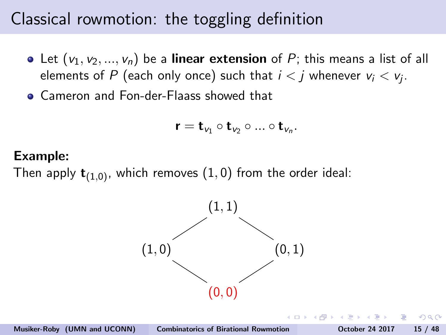# Classical rowmotion: the toggling definition

- Let  $(v_1, v_2, ..., v_n)$  be a linear extension of P; this means a list of all elements of  $P$  (each only once) such that  $i < j$  whenever  $v_i < v_j$ .
- **Cameron and Fon-der-Flaass showed that**

$$
\mathbf{r}=\mathbf{t}_{v_1}\circ \mathbf{t}_{v_2}\circ...\circ \mathbf{t}_{v_n}.
$$

#### Example:

Then apply  $\mathbf{t}_{(1,0)}$ , which removes  $(1,0)$  from the order ideal:

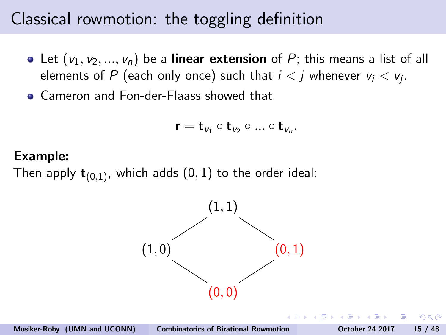# Classical rowmotion: the toggling definition

- Let  $(v_1, v_2, ..., v_n)$  be a linear extension of P; this means a list of all elements of  $P$  (each only once) such that  $i < j$  whenever  $v_i < v_j$ .
- **Cameron and Fon-der-Flaass showed that**

$$
\mathbf{r}=\mathbf{t}_{v_1}\circ \mathbf{t}_{v_2}\circ...\circ \mathbf{t}_{v_n}.
$$

#### Example:

Then apply  $\mathbf{t}_{(0,1)}$ , which adds  $(0,1)$  to the order ideal:

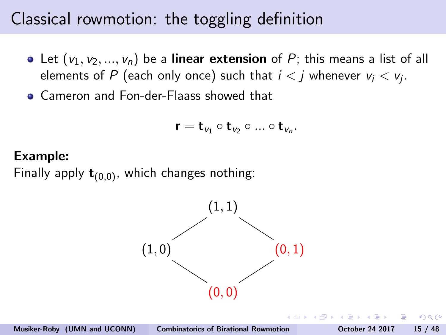# Classical rowmotion: the toggling definition

- Let  $(v_1, v_2, ..., v_n)$  be a linear extension of P; this means a list of all elements of  $P$  (each only once) such that  $i < j$  whenever  $v_i < v_j$ .
- Cameron and Fon-der-Flaass showed that

$$
\mathbf{r}=\mathbf{t}_{v_1}\circ \mathbf{t}_{v_2}\circ...\circ \mathbf{t}_{v_n}.
$$

#### Example:

Finally apply  $\mathbf{t}_{(0,0)}$ , which changes nothing:

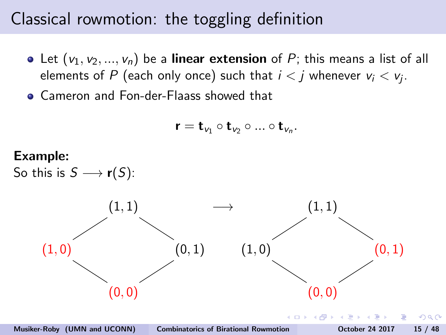# Classical rowmotion: the toggling definition

- Let  $(v_1, v_2, ..., v_n)$  be a linear extension of P; this means a list of all elements of  $P$  (each only once) such that  $i < j$  whenever  $v_i < v_j$ .
- **Cameron and Fon-der-Flaass showed that**

$$
\mathbf{r}=\mathbf{t}_{v_1}\circ \mathbf{t}_{v_2}\circ...\circ \mathbf{t}_{v_n}.
$$

#### Example:

So this is  $S \longrightarrow r(S)$ :



 $\Omega$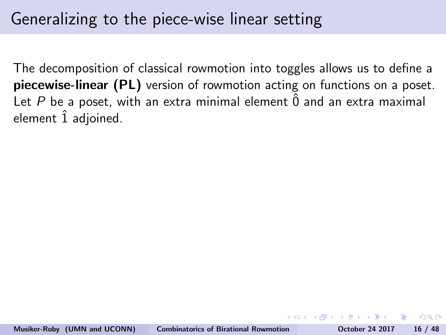# Generalizing to the piece-wise linear setting

The decomposition of classical rowmotion into toggles allows us to define a piecewise-linear (PL) version of rowmotion acting on functions on a poset. Let P be a poset, with an extra minimal element  $\hat{0}$  and an extra maximal element  $\hat{1}$  adjoined.

 $\Omega$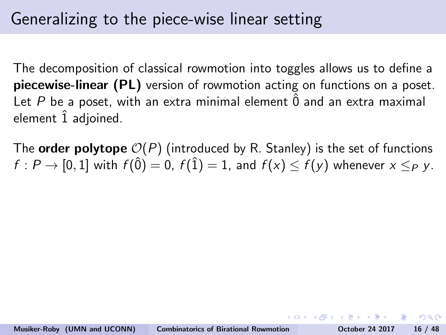# Generalizing to the piece-wise linear setting

The decomposition of classical rowmotion into toggles allows us to define a piecewise-linear (PL) version of rowmotion acting on functions on a poset. Let P be a poset, with an extra minimal element  $\hat{0}$  and an extra maximal element  $\hat{1}$  adjoined.

The **order polytope**  $\mathcal{O}(P)$  (introduced by R. Stanley) is the set of functions  $f: P \to [0, 1]$  with  $f(\hat{0}) = 0$ ,  $f(\hat{1}) = 1$ , and  $f(x) < f(y)$  whenever  $x \leq_P y$ .

 $OQ$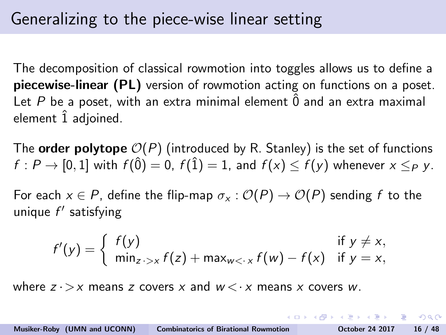The decomposition of classical rowmotion into toggles allows us to define a piecewise-linear (PL) version of rowmotion acting on functions on a poset. Let P be a poset, with an extra minimal element  $\hat{0}$  and an extra maximal element  $\hat{1}$  adjoined.

The **order polytope**  $O(P)$  (introduced by R. Stanley) is the set of functions  $f: P \to [0, 1]$  with  $f(\hat{0}) = 0$ ,  $f(\hat{1}) = 1$ , and  $f(x) < f(y)$  whenever  $x \leq_P y$ .

For each  $x \in P$ , define the flip-map  $\sigma_x : \mathcal{O}(P) \to \mathcal{O}(P)$  sending f to the unique f' satisfying

$$
f'(y) = \begin{cases} f(y) & \text{if } y \neq x, \\ \min_{z \to x} f(z) + \max_{w < x} f(w) - f(x) & \text{if } y = x, \end{cases}
$$

where  $z \rightarrow x$  means z covers x and  $w \leftarrow x$  means x covers w.

KID KAPIKIEIKIEIK EI KOQO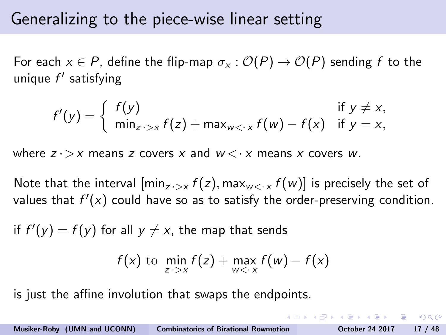## Generalizing to the piece-wise linear setting

For each  $x \in P$ , define the flip-map  $\sigma_x : \mathcal{O}(P) \to \mathcal{O}(P)$  sending f to the unique f' satisfying

$$
f'(y) = \begin{cases} f(y) & \text{if } y \neq x, \\ \min_{z \to x} f(z) + \max_{w < x} f(w) - f(x) & \text{if } y = x, \end{cases}
$$

where  $z \rightarrow x$  means z covers x and  $w \leftarrow x$  means x covers w.

Note that the interval  $[\min_{z \to x} f(z), \max_{w < x} f(w)]$  is precisely the set of values that  $f'(x)$  could have so as to satisfy the order-preserving condition.

if  $f'(y) = f(y)$  for all  $y \neq x$ , the map that sends

$$
f(x) \text{ to } \min_{z \to x} f(z) + \max_{w < x} f(w) - f(x)
$$

is just the affine involution that swaps the endpoints.

KID KAPIKIEIKIEIK EI KOQO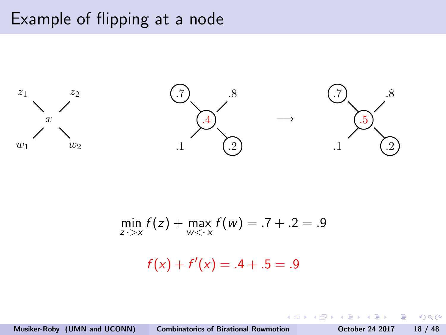## Example of flipping at a node



$$
\min_{z \to x} f(z) + \max_{w < x} f(w) = .7 + .2 = .9
$$

 $f(x) + f'(x) = .4 + .5 = .9$ 

Musiker-Roby (UMN and UCONN) [Combinatorics of Birational Rowmotion](#page-0-0) October 24 2017 18 / 48

 $\leftarrow$   $\Box$ 

 $\overline{AB}$   $\rightarrow$   $\overline{AB}$ 

重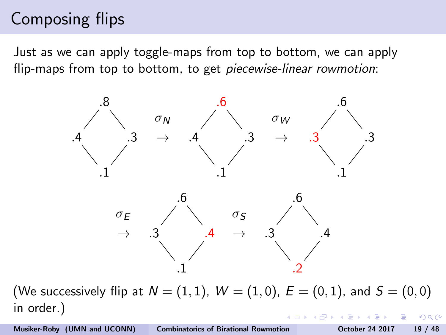# Composing flips

Just as we can apply toggle-maps from top to bottom, we can apply flip-maps from top to bottom, to get piecewise-linear rowmotion:



(We successively flip at  $N = (1, 1)$ ,  $W = (1, 0)$ ,  $E = (0, 1)$ , and  $S = (0, 0)$ in order.) つくい

Musiker-Roby (UMN and UCONN) [Combinatorics of Birational Rowmotion](#page-0-0) October 24 2017 19 / 48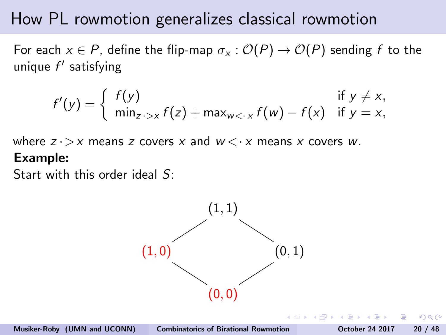For each  $x \in P$ , define the flip-map  $\sigma_x : \mathcal{O}(P) \to \mathcal{O}(P)$  sending f to the unique  $f'$  satisfying

$$
f'(y) = \begin{cases} f(y) & \text{if } y \neq x, \\ \min_{z \to x} f(z) + \max_{w < x} f(w) - f(x) & \text{if } y = x, \end{cases}
$$

where  $z \rightarrow x$  means z covers x and  $w \leftarrow x$  means x covers w. Example:

Start with this order ideal S:

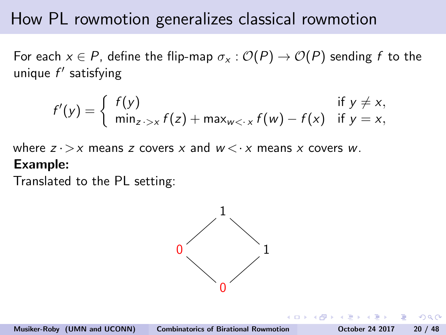For each  $x \in P$ , define the flip-map  $\sigma_x : \mathcal{O}(P) \to \mathcal{O}(P)$  sending f to the unique f' satisfying

$$
f'(y) = \begin{cases} f(y) & \text{if } y \neq x, \\ \min_{z \to x} f(z) + \max_{w < x} f(w) - f(x) & \text{if } y = x, \end{cases}
$$

where  $z \rightarrow x$  means z covers x and  $w \leq x$  means x covers w. Example:

Translated to the PL setting:

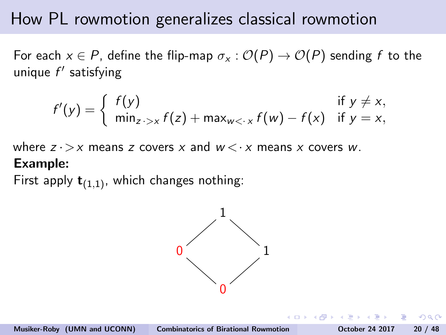For each  $x \in P$ , define the flip-map  $\sigma_x : \mathcal{O}(P) \to \mathcal{O}(P)$  sending f to the unique  $f'$  satisfying

$$
f'(y) = \begin{cases} f(y) & \text{if } y \neq x, \\ \min_{z \to x} f(z) + \max_{w < x} f(w) - f(x) & \text{if } y = x, \end{cases}
$$

where  $z \rightarrow x$  means z covers x and  $w \leftarrow x$  means x covers w. Example:

First apply  $t_{(1,1)}$ , which changes nothing:

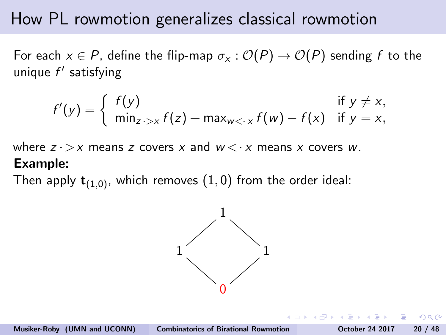For each  $x \in P$ , define the flip-map  $\sigma_x : \mathcal{O}(P) \to \mathcal{O}(P)$  sending f to the unique  $f'$  satisfying

$$
f'(y) = \begin{cases} f(y) & \text{if } y \neq x, \\ \min_{z \to x} f(z) + \max_{w < x} f(w) - f(x) & \text{if } y = x, \end{cases}
$$

where  $z \rightarrow x$  means z covers x and  $w \leftarrow x$  means x covers w. Example:

Then apply  $t_{(1,0)}$ , which removes  $(1,0)$  from the order ideal:

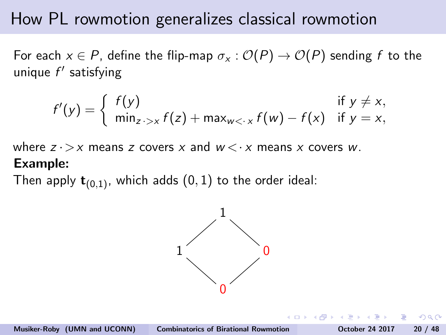For each  $x \in P$ , define the flip-map  $\sigma_x : \mathcal{O}(P) \to \mathcal{O}(P)$  sending f to the unique  $f'$  satisfying

$$
f'(y) = \begin{cases} f(y) & \text{if } y \neq x, \\ \min_{z \to x} f(z) + \max_{w < x} f(w) - f(x) & \text{if } y = x, \end{cases}
$$

where  $z \rightarrow x$  means z covers x and  $w \leftarrow x$  means x covers w. Example:

Then apply  $\mathbf{t}_{(0,1)}$ , which adds  $(0,1)$  to the order ideal:

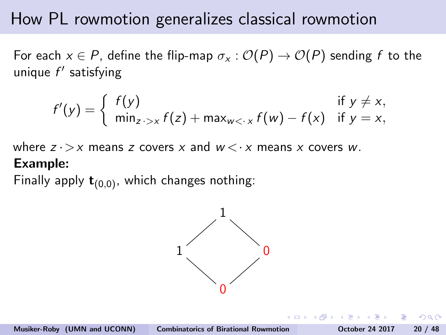For each  $x \in P$ , define the flip-map  $\sigma_x : \mathcal{O}(P) \to \mathcal{O}(P)$  sending f to the unique  $f'$  satisfying

$$
f'(y) = \begin{cases} f(y) & \text{if } y \neq x, \\ \min_{z \to x} f(z) + \max_{w < x} f(w) - f(x) & \text{if } y = x, \end{cases}
$$

where  $z \rightarrow x$  means z covers x and  $w \leftarrow x$  means x covers w. Example:

Finally apply  $t_{(0,0)}$ , which changes nothing:

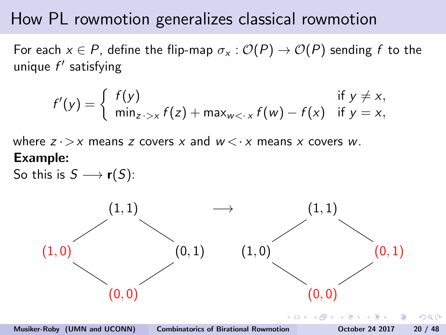For each  $x \in P$ , define the flip-map  $\sigma_x : \mathcal{O}(P) \to \mathcal{O}(P)$  sending f to the unique  $f'$  satisfying

$$
f'(y) = \begin{cases} f(y) & \text{if } y \neq x, \\ \min_{z \to x} f(z) + \max_{w < x} f(w) - f(x) & \text{if } y = x, \end{cases}
$$

where  $z \rightarrow x$  means z covers x and  $w \leftarrow x$  means x covers w. Example:

So this is  $S \longrightarrow r(S)$ :



Musiker-Roby (UMN and UCONN) [Combinatorics of Birational Rowmotion](#page-0-0) October 24 2017 20 / 48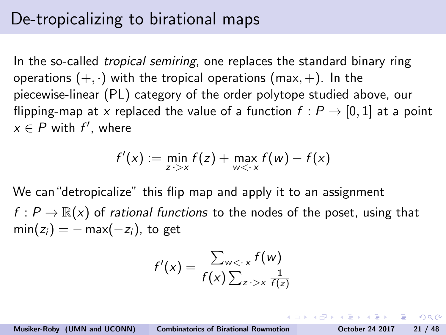# De-tropicalizing to birational maps

In the so-called *tropical semiring*, one replaces the standard binary ring operations  $(+, \cdot)$  with the tropical operations (max, +). In the piecewise-linear (PL) category of the order polytope studied above, our flipping-map at x replaced the value of a function  $f : P \rightarrow [0,1]$  at a point  $x \in P$  with  $f'$ , where

$$
f'(x) := \min_{z \to x} f(z) + \max_{w < x} f(w) - f(x)
$$

We can"detropicalize" this flip map and apply it to an assignment  $f: P \to \mathbb{R}(x)$  of rational functions to the nodes of the poset, using that  $min(z_i) = -max(-z_i)$ , to get

$$
f'(x) = \frac{\sum_{w < \cdot x} f(w)}{f(x) \sum_{z \cdot > x} \frac{1}{f(z)}}
$$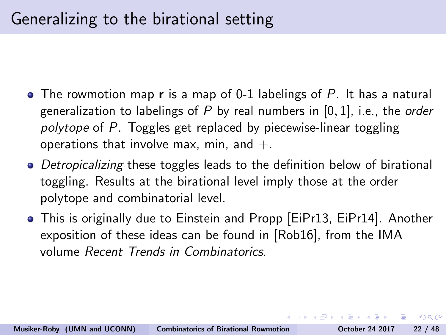# Generalizing to the birational setting

- The rowmotion map **r** is a map of 0-1 labelings of P. It has a natural generalization to labelings of  $P$  by real numbers in  $[0, 1]$ , i.e., the order polytope of P. Toggles get replaced by piecewise-linear toggling operations that involve max, min, and  $+$ .
- Detropicalizing these toggles leads to the definition below of birational toggling. Results at the birational level imply those at the order polytope and combinatorial level.
- This is originally due to Einstein and Propp [\[EiPr13,](#page-112-0) [EiPr14\]](#page-112-1). Another exposition of these ideas can be found in [\[Rob16\]](#page-113-0), from the IMA volume Recent Trends in Combinatorics.

KID KAPIKIEIKIEIK EI KOQO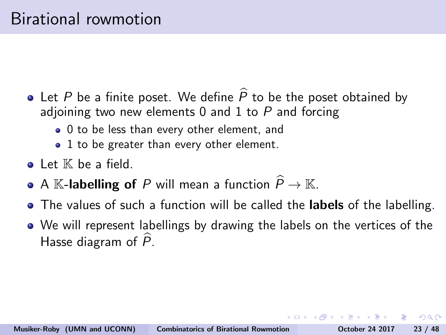- <span id="page-54-0"></span>• Let P be a finite poset. We define  $\widehat{P}$  to be the poset obtained by adjoining two new elements  $0$  and  $1$  to  $P$  and forcing
	- 0 to be less than every other element, and
	- 1 to be greater than every other element.
- $\bullet$  Let  $\mathbb K$  be a field.
- A K-labelling of P will mean a function  $\widehat{P} \to \mathbb{K}$ .
- The values of such a function will be called the labels of the labelling.
- We will represent labellings by drawing the labels on the vertices of the Hasse diagram of  $\tilde{P}$ .

 $\Omega$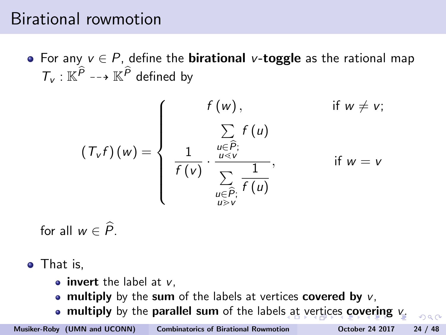## <span id="page-55-0"></span>Birational rowmotion

• For any  $v \in P$ , define the **birational** v-**toggle** as the rational map  $T_v : \mathbb{K}^P \dashrightarrow \mathbb{K}^P$  defined by

$$
(T_v f)(w) = \begin{cases} f(w), & \text{if } w \neq v; \\ \frac{\sum\limits_{u \in \widehat{P}_v} f(u)}{\sum\limits_{u \in V} \frac{1}{f(u)}}, & \text{if } w = v \\ \frac{\sum\limits_{u \in \widehat{P}_v} \frac{1}{f(u)}}{\sum\limits_{u \geq v} \frac{1}{v \geq v}} \end{cases}
$$

for all  $w \in \widehat{P}$ .

• That is,

- $\bullet$  invert the label at  $v$ .
- multiply by the sum of the labels at vertices covered by  $v$ .
- multiply by the parallel sum of the label[s a](#page-54-0)t [v](#page-56-0)[e](#page-57-0)[rt](#page-55-0)[ic](#page-56-0)e[s](#page-0-0) [c](#page-0-0)[ov](#page-113-1)[er](#page-0-0)[ing](#page-113-1) [v](#page-0-0)[.](#page-113-1)

 $\Omega$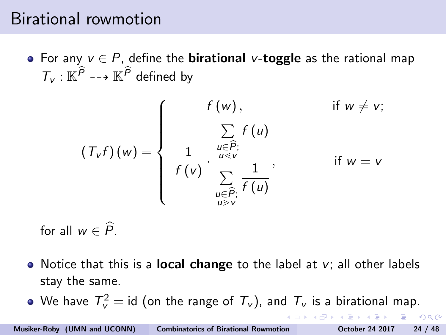## <span id="page-56-0"></span>Birational rowmotion

• For any  $v \in P$ , define the **birational** v-**toggle** as the rational map  $T_v : \mathbb{K}^P \dashrightarrow \mathbb{K}^P$  defined by

$$
\left(T_{v}f\right)(w) = \begin{cases}\n f(w), & \text{if } w \neq v; \\
\sum_{\substack{u \in \widehat{P};\\ \overline{f}(v)}} f(u) & \text{if } w = v \\
\frac{1}{f(v)} \cdot \frac{\sum_{\substack{u \in \widehat{P};\\ \sum_{\substack{u \in \widehat{P};\\ \overline{u} \geq v}}} \frac{1}{f(u)}}{\sqrt{f(v)}}\n\end{cases}
$$

for all  $w \in \widehat{P}$ .

- Notice that this is a **local change** to the label at  $v_i$ ; all other labels stay the same.
- We have  $\mathcal{T}_{\mathsf{v}}^2 = \mathsf{id}$  (on the range of  $\mathcal{T}_{\mathsf{v}}$ ), and  $\mathcal{T}_{\mathsf{v}}$  is a birational map.

 $\equiv$   $\cap$   $\alpha$ 

(ロトラ風) マラトマラト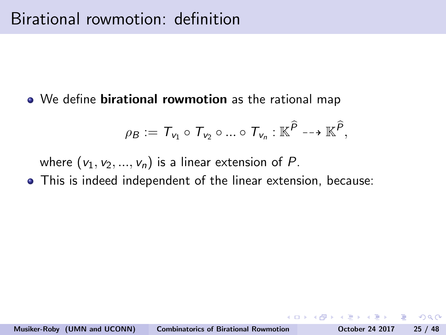#### <span id="page-57-0"></span>• We define **birational rowmotion** as the rational map

$$
\rho_B := \mathcal{T}_{v_1} \circ \mathcal{T}_{v_2} \circ ... \circ \mathcal{T}_{v_n} : \mathbb{K}^{\widehat{P}} \dashrightarrow \mathbb{K}^{\widehat{P}},
$$

where  $(v_1, v_2, ..., v_n)$  is a linear extension of P.

This is indeed independent of the linear extension, because:

ാഹ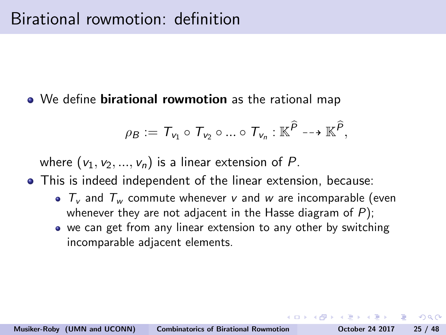<span id="page-58-0"></span>• We define **birational rowmotion** as the rational map

$$
\rho_B := T_{v_1} \circ T_{v_2} \circ ... \circ T_{v_n} : \mathbb{K}^{\widehat{P}} \dashrightarrow \mathbb{K}^{\widehat{P}},
$$

where  $(v_1, v_2, ..., v_n)$  is a linear extension of P.

- This is indeed independent of the linear extension, because:
	- $T_v$  and  $T_w$  commute whenever v and w are incomparable (even whenever they are not adjacent in the Hasse diagram of  $P$ );
	- we can get from any linear extension to any other by switching incomparable adjacent elements.

 $\Omega$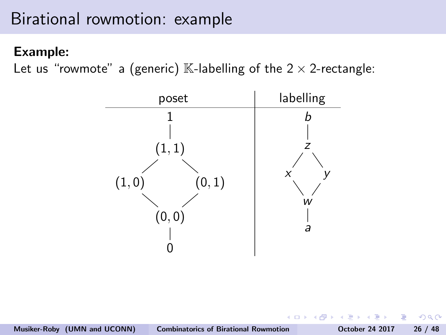# <span id="page-59-0"></span>Birational rowmotion: example

### Example:

Let us "rowmote" a (generic)  $\mathbb K$ -labelling of the  $2 \times 2$ -rectangle:



 $\Omega$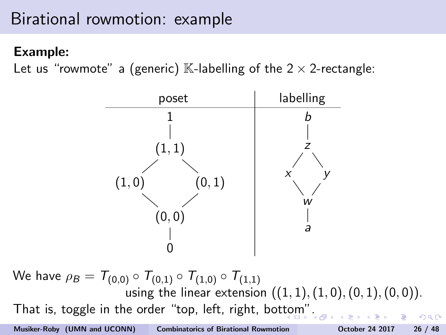# Birational rowmotion: example

### Example:

Let us "rowmote" a (generic) K-labelling of the  $2 \times 2$ -rectangle:



We have  $\rho_B = T_{(0,0)} \circ T_{(0,1)} \circ T_{(1,0)} \circ T_{(1,1)}$ using the linear extension  $((1, 1), (1, 0), (0, 1), (0, 0))$ . That is, toggle in the order "top, left, right, bot[to](#page-59-0)[m"](#page-61-0)[.](#page-58-0) Musiker-Roby (UMN and UCONN) [Combinatorics of Birational Rowmotion](#page-0-0) October 24 2017 26 / 48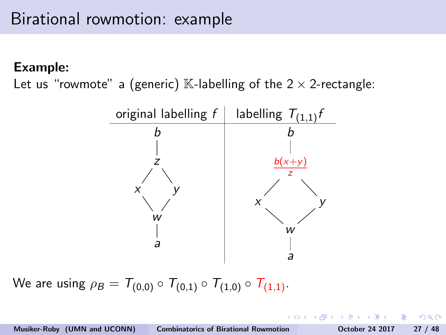<span id="page-61-0"></span>Let us "rowmote" a (generic)  $\mathbb{K}$ -labelling of the 2  $\times$  2-rectangle:



We are using  $\rho_B = T_{(0,0)} \circ T_{(0,1)} \circ T_{(1,0)} \circ T_{(1,1)}$ .

 $200$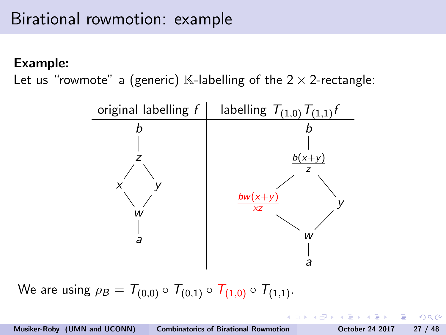Let us "rowmote" a (generic)  $\mathbb{K}$ -labelling of the 2  $\times$  2-rectangle:



We are using  $\rho_B = T_{(0,0)} \circ T_{(0,1)} \circ T_{(1,0)} \circ T_{(1,1)}$ .

Musiker-Roby (UMN and UCONN) [Combinatorics of Birational Rowmotion](#page-0-0) October 24 2017 27 / 48

 $\Omega$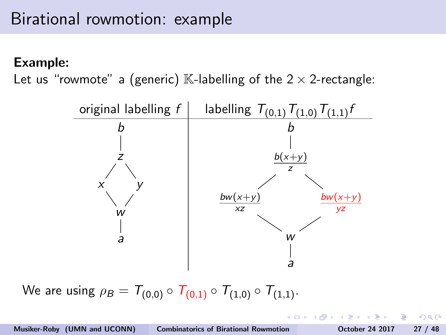Let us "rowmote" a (generic)  $\mathbb{K}$ -labelling of the 2  $\times$  2-rectangle:



We are using  $\rho_B = T_{(0,0)} \circ T_{(0,1)} \circ T_{(1,0)} \circ T_{(1,1)}$ .

 $200$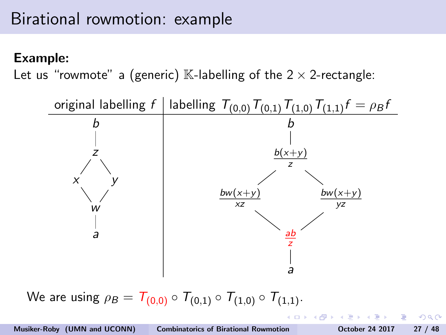Let us "rowmote" a (generic) K-labelling of the  $2 \times 2$ -rectangle:



We are using  $\rho_B = T_{(0,0)} \circ T_{(0,1)} \circ T_{(1,0)} \circ T_{(1,1)}$ .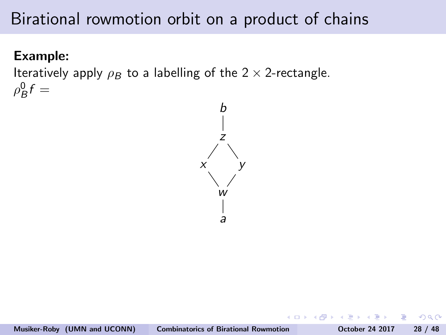### Example:

Iteratively apply  $\rho_B$  to a labelling of the 2  $\times$  2-rectangle.  $\rho_B^0 f =$ 



 $200$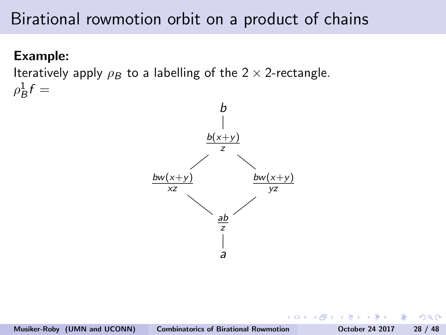### Example:

Iteratively apply  $\rho_B$  to a labelling of the 2  $\times$  2-rectangle.  $\rho_B^1 f =$ 



つくい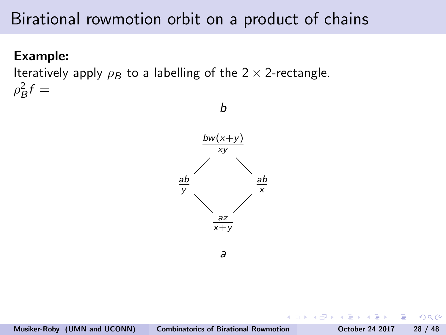### Example:

Iteratively apply  $\rho_B$  to a labelling of the 2  $\times$  2-rectangle.  $\rho_B^2 f =$ 



 $200$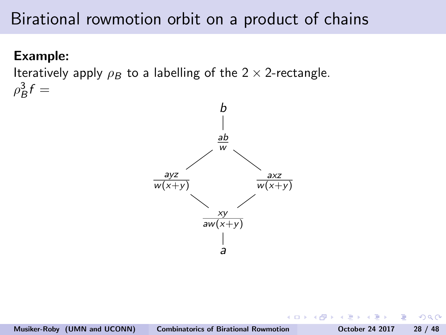### Example:

Iteratively apply  $\rho_B$  to a labelling of the 2  $\times$  2-rectangle.  $\rho_B^3 f =$ 



つくい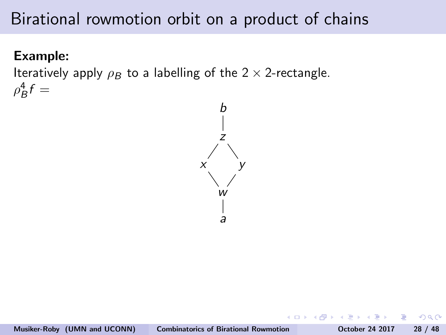### Example:

Iteratively apply  $\rho_B$  to a labelling of the 2  $\times$  2-rectangle.  $\rho_B^4 f =$ 



 $200$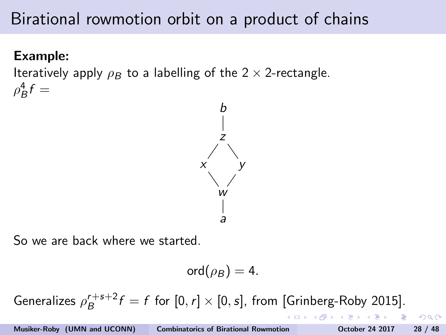### Example:

Iteratively apply  $\rho_B$  to a labelling of the 2  $\times$  2-rectangle.  $\rho_B^4 f =$ 



So we are back where we started.

$$
\text{ord}(\rho_B)=4.
$$

Generalizes  $\rho_B^{r+s+2}$  $B_B^{r+s+2} f = f$  for  $[0, r] \times [0, s]$ , from [Grinberg-Roby 2015].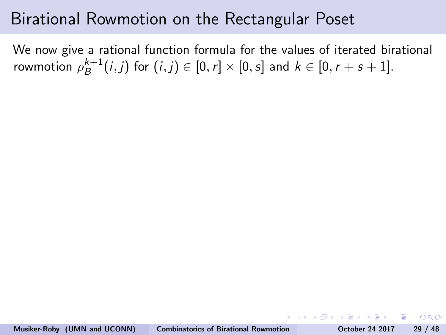## Birational Rowmotion on the Rectangular Poset

We now give a rational function formula for the values of iterated birational rowmotion  $\rho_{B}^{k+1}$  $B^{k+1}(i,j)$  for  $(i,j) \in [0,r] \times [0,s]$  and  $k \in [0,r+s+1]$ .

 $200$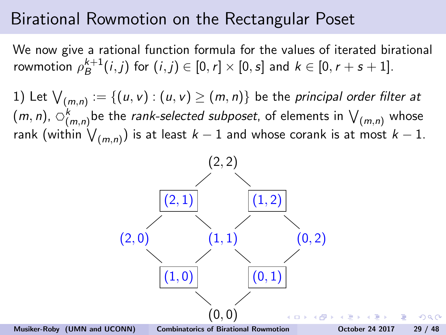We now give a rational function formula for the values of iterated birational rowmotion  $\rho_{B}^{k+1}$  $B^{k+1}(i,j)$  for  $(i,j) \in [0,r] \times [0,s]$  and  $k \in [0,r+s+1]$ .

1) Let  $\bigvee_{(m,n)}:=\{(u,v):(u,v)\geq(m,n)\}$  be the *principal order filter at*  $(m, n)$ ,  $\circlearrowleft_{(m,n)}^k$  be the *rank-selected subposet*, of elements in  $\bigvee_{(m,n)}$  whose rank (within  $\bigvee_{(m,n)})$  is at least  $k-1$  and whose corank is at most  $k-1.$ 

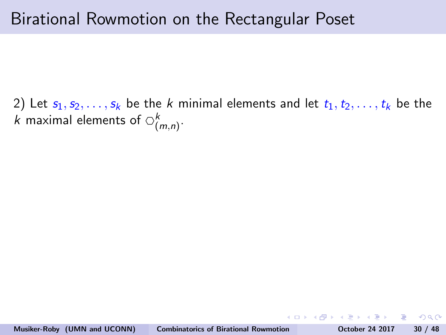2) Let  $s_1, s_2, \ldots, s_k$  be the k minimal elements and let  $t_1, t_2, \ldots, t_k$  be the k maximal elements of  $\circlearrowright_{(m,n)}^k$ .

- 3

 $200$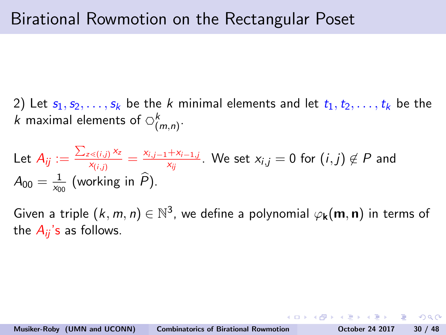2) Let  $s_1, s_2, \ldots, s_k$  be the k minimal elements and let  $t_1, t_2, \ldots, t_k$  be the k maximal elements of  $\circlearrowright_{(m,n)}^k$ .

Let 
$$
A_{ij} := \frac{\sum_{z \le (i,j)} x_z}{x_{(i,j)}} = \frac{x_{i,j-1} + x_{i-1,j}}{x_{ij}}
$$
. We set  $x_{i,j} = 0$  for  $(i,j) \notin P$  and  $A_{00} = \frac{1}{x_{00}}$  (working in  $\widehat{P}$ ).

Given a triple  $(k, m, n) \in \mathbb{N}^3$ , we define a polynomial  $\varphi_{\mathbf{k}}(\mathbf{m}, \mathbf{n})$  in terms of the  $A_{ii}$ 's as follows.

ാം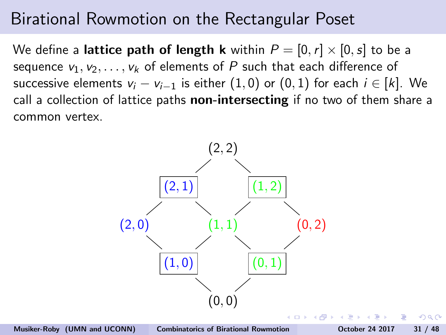We define a lattice path of length k within  $P = [0, r] \times [0, s]$  to be a sequence  $v_1, v_2, \ldots, v_k$  of elements of P such that each difference of successive elements  $v_i - v_{i-1}$  is either  $(1,0)$  or  $(0,1)$  for each  $i \in [k]$ . We call a collection of lattice paths **non-intersecting** if no two of them share a common vertex.



 $\Omega$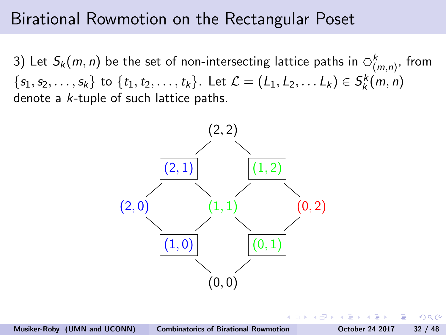3) Let  $S_k(m, n)$  be the set of non-intersecting lattice paths in  $\bigcirc_{(m,n)}^k$ , from  $\{s_1, s_2, \ldots, s_k\}$  to  $\{t_1, t_2, \ldots, t_k\}$ . Let  $\mathcal{L} = (L_1, L_2, \ldots L_k) \in S_k^k(m, n)$ denote a k-tuple of such lattice paths.



つくい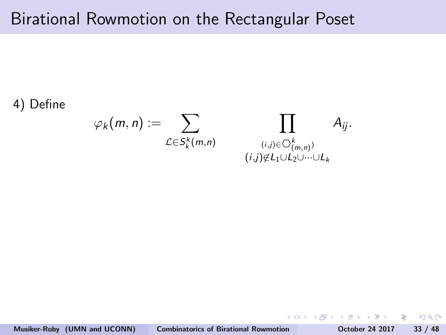#### 4) Define

$$
\varphi_k(m,n) := \sum_{\mathcal{L} \in S_k^k(m,n)} \prod_{\substack{(i,j) \in \bigcirc_{(m,n)}^k \ (j,j) \notin L_1 \cup L_2 \cup \cdots \cup L_k}} A_{ij}.
$$

 $\equiv$   $\cap$   $\alpha$ 

イロン イ母ン イヨン イヨン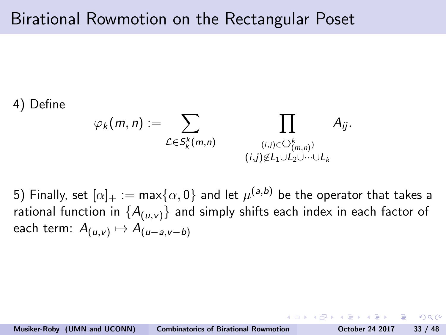#### 4) Define

$$
\varphi_k(m,n) := \sum_{\mathcal{L} \in S_k^k(m,n)} \prod_{\substack{(i,j) \in \bigcirc_{(m,n)}^k\\(i,j) \notin L_1 \cup L_2 \cup \dots \cup L_k}} A_{ij}.
$$

5) Finally, set  $[\alpha]_+:=\max\{\alpha,0\}$  and let  $\mu^{(a,b)}$  be the operator that takes a rational function in  $\{A_{(u,v)}\}$  and simply shifts each index in each factor of each term:  $A_{(u,v)} \mapsto A_{(u-a,v-b)}$ 

ാഹ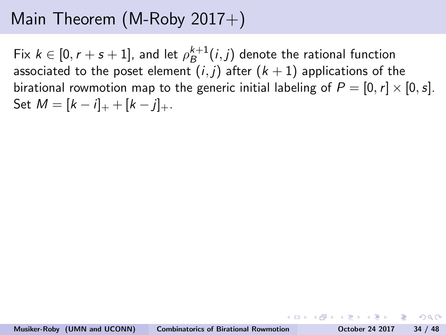Fix  $k \in [0, r+s+1]$ , and let  $\rho_B^{k+1}$  $B^{k+1}(i,j)$  denote the rational function associated to the poset element  $(i, j)$  after  $(k + 1)$  applications of the birational rowmotion map to the generic initial labeling of  $P = [0, r] \times [0, s]$ . Set  $M = [k - i]_{+} + [k - i]_{+}$ .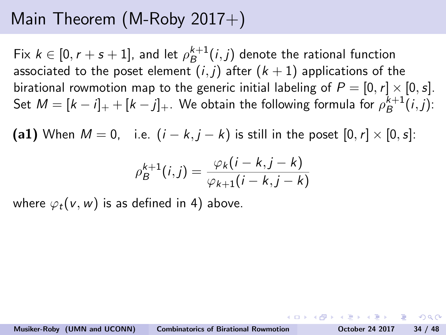Fix  $k \in [0, r+s+1]$ , and let  $\rho_B^{k+1}$  $B^{k+1}(i,j)$  denote the rational function associated to the poset element  $(i, j)$  after  $(k + 1)$  applications of the birational rowmotion map to the generic initial labeling of  $P = [0, r] \times [0, s]$ . Set  $M = [k - i]_+ + [k - j]_+$ . We obtain the following formula for  $\rho_B^{k+1}$  $B^{k+1}(i,j)$ :

(a1) When  $M = 0$ , i.e.  $(i - k, j - k)$  is still in the poset  $[0, r] \times [0, s]$ :

$$
\rho_B^{k+1}(i,j) = \frac{\varphi_k(i-k,j-k)}{\varphi_{k+1}(i-k,j-k)}
$$

where  $\varphi_t(v, w)$  is as defined in 4) above.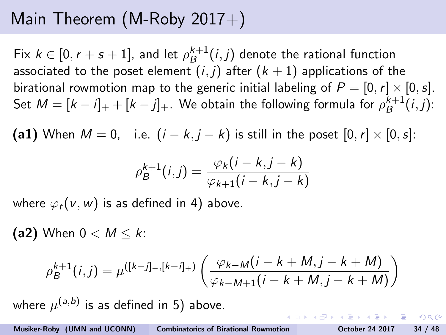<span id="page-81-0"></span>Fix  $k \in [0, r+s+1]$ , and let  $\rho_B^{k+1}$  $B^{k+1}(i,j)$  denote the rational function associated to the poset element  $(i, j)$  after  $(k + 1)$  applications of the birational rowmotion map to the generic initial labeling of  $P = [0, r] \times [0, s]$ . Set  $M = [k - i]_+ + [k - j]_+$ . We obtain the following formula for  $\rho_B^{k+1}$  $B^{k+1}(i,j)$ :

(a1) When  $M = 0$ , i.e.  $(i - k, j - k)$  is still in the poset  $[0, r] \times [0, s]$ :

$$
\rho_B^{k+1}(i,j) = \frac{\varphi_k(i-k,j-k)}{\varphi_{k+1}(i-k,j-k)}
$$

where  $\varphi_t(v, w)$  is as defined in 4) above.

(a2) When  $0 < M < k$ :

$$
\rho_B^{k+1}(i,j) = \mu^{([k-j]_+, [k-j]_+)} \left( \frac{\varphi_{k-M}(i-k+M,j-k+M)}{\varphi_{k-M+1}(i-k+M,j-k+M)} \right)
$$

where  $\mu^{(\mathsf{a},\mathsf{b})}$  is as defined in 5) above.

 $OQ$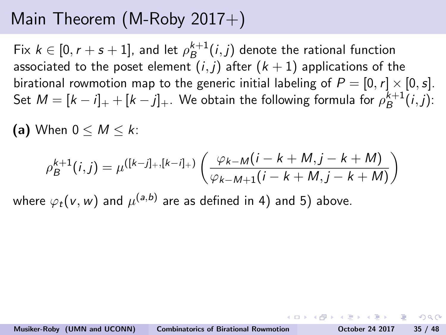<span id="page-82-0"></span>Fix  $k \in [0, r+s+1]$ , and let  $\rho_B^{k+1}$  $B^{k+1}(i,j)$  denote the rational function associated to the poset element  $(i, j)$  after  $(k + 1)$  applications of the birational rowmotion map to the generic initial labeling of  $P = [0, r] \times [0, s]$ . Set  $M = [k - i]_+ + [k - j]_+$ . We obtain the following formula for  $\rho_B^{k+1}$  $B^{k+1}(i,j)$ :

(a) When  $0 \leq M \leq k$ :

$$
\rho_B^{k+1}(i,j) = \mu^{([k-j]_+, [k-i]_+)} \left( \frac{\varphi_{k-M}(i-k+M,j-k+M)}{\varphi_{k-M+1}(i-k+M,j-k+M)} \right)
$$

where  $\varphi_t({\sf v},{\sf w})$  and  $\mu^{(a,b)}$  are as defined in 4) and 5) above.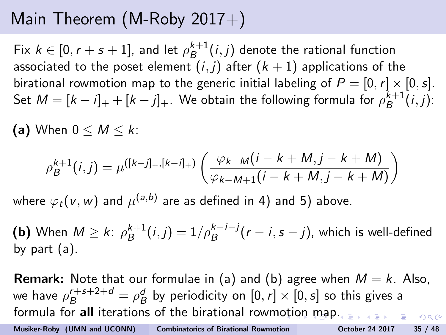<span id="page-83-0"></span>Fix  $k \in [0, r+s+1]$ , and let  $\rho_B^{k+1}$  $B^{k+1}(i,j)$  denote the rational function associated to the poset element  $(i, j)$  after  $(k + 1)$  applications of the birational rowmotion map to the generic initial labeling of  $P = [0, r] \times [0, s]$ . Set  $M = [k - i]_+ + [k - j]_+$ . We obtain the following formula for  $\rho_B^{k+1}$  $B^{k+1}(i,j)$ :

(a) When  $0 \leq M \leq k$ :

$$
\rho_B^{k+1}(i,j) = \mu^{([k-j]_+, [k-i]_+)} \left( \frac{\varphi_{k-M}(i-k+M,j-k+M)}{\varphi_{k-M+1}(i-k+M,j-k+M)} \right)
$$

where  $\varphi_t({\sf v},{\sf w})$  and  $\mu^{(a,b)}$  are as defined in 4) and 5) above.

**(b)** When  $M \ge k$ :  $\rho_B^{k+1}$  $B^{k+1}_B(i,j) = 1/\rho_B^{k-i-j}(r-i,s-j)$ , which is well-defined by part (a).

**Remark:** Note that our formulae in (a) and (b) agree when  $M = k$ . Also, we have  $\rho_B^{r+s+2+d} = \rho_B^d$  by periodicity on  $[0,r] \times [0,s]$  so this gives a formula for all iterations of the birational rowm[oti](#page-82-0)o[n](#page-84-0)[m](#page-82-0)[a](#page-83-0)[p](#page-84-0)[.](#page-0-0)  $ORO$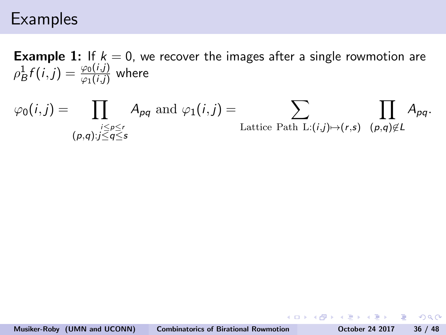## <span id="page-84-0"></span>**Examples**

**Example 1:** If  $k = 0$ , we recover the images after a single rowmotion are  $\rho_B^1f(i,j)=\frac{\varphi_0(i,j)}{\varphi_1(i,j)}$  where

$$
\varphi_0(i,j) = \prod_{\substack{i \leq p \leq r \\ (p,q): j \leq q \leq s}} A_{pq} \text{ and } \varphi_1(i,j) = \sum_{\text{Lattice Path L:}(i,j) \mapsto (r,s)} \prod_{(p,q) \notin L} A_{pq}.
$$

 $QQ$ 

イロト イ押 トイヨ トイヨ トーヨ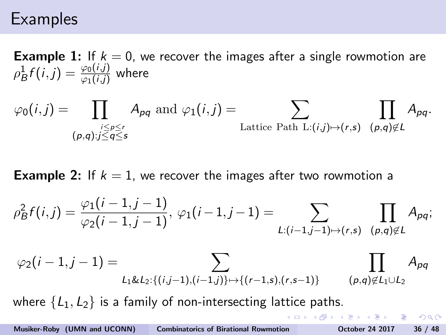## <span id="page-85-0"></span>**Examples**

**Example 1:** If  $k = 0$ , we recover the images after a single rowmotion are  $\rho_B^1f(i,j)=\frac{\varphi_0(i,j)}{\varphi_1(i,j)}$  where

$$
\varphi_0(i,j) = \prod_{\substack{i \leq p \leq r \\ (p,q):j \leq q \leq s}} A_{pq} \text{ and } \varphi_1(i,j) = \sum_{\text{Lattice Path L:}(i,j) \mapsto (r,s)} \prod_{(p,q) \notin L} A_{pq}.
$$

**Example 2:** If  $k = 1$ , we recover the images after two rowmotion a

$$
\rho_B^2 f(i,j) = \frac{\varphi_1(i-1,j-1)}{\varphi_2(i-1,j-1)}, \ \varphi_1(i-1,j-1) = \sum_{L:(i-1,j-1)\mapsto(r,s)} \prod_{(p,q)\notin L} A_{pq};
$$

$$
\varphi_2(i-1,j-1) = \sum_{L_1 \& L_2: \{(i,j-1),(i-1,j)\} \mapsto \{(r-1,s),(r,s-1)\}} \qquad \prod_{(p,q) \notin L_1 \cup L_2} A_{pq}
$$

where  $\{L_1, L_2\}$  is a family of non-intersecting lattice paths.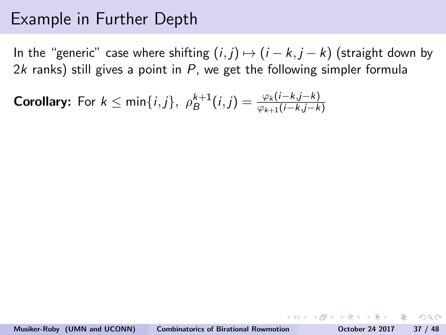<span id="page-86-0"></span>In the "generic" case where shifting  $(i, j) \mapsto (i - k, j - k)$  (straight down by 2k ranks) still gives a point in  $P$ , we get the following simpler formula

**Corollary:** For 
$$
k \le \min\{i,j\}
$$
,  $\rho_B^{k+1}(i,j) = \frac{\varphi_k(i-k,j-k)}{\varphi_{k+1}(i-k,j-k)}$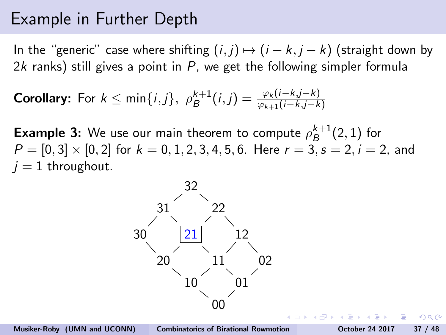In the "generic" case where shifting  $(i, j) \mapsto (i - k, i - k)$  (straight down by 2k ranks) still gives a point in  $P$ , we get the following simpler formula

**Corollary:** For 
$$
k \le \min\{i,j\}
$$
,  $\rho_B^{k+1}(i,j) = \frac{\varphi_k(i-k,j-k)}{\varphi_{k+1}(i-k,j-k)}$ 

**Example 3:** We use our main theorem to compute  $\rho_B^{k+1}$  $B^{k+1}(2,1)$  for  $P = [0, 3] \times [0, 2]$  for  $k = 0, 1, 2, 3, 4, 5, 6$ . Here  $r = 3, s = 2, i = 2$ , and  $j = 1$  throughout.

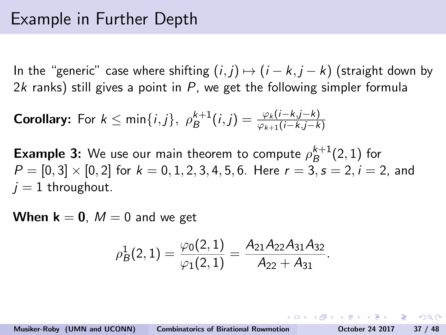<span id="page-88-0"></span>In the "generic" case where shifting  $(i, j) \mapsto (i - k, j - k)$  (straight down by 2k ranks) still gives a point in  $P$ , we get the following simpler formula

**Corollary:** For  $k \leq \min\{i,j\}$ ,  $\rho_B^{k+1}(i,j) = \frac{\varphi_k(i-k,j-k)}{\varphi_{k+1}(i-k,j-k)}$ 

**Example 3:** We use our main theorem to compute  $\rho_B^{k+1}$  $B^{k+1}(2,1)$  for  $P = [0, 3] \times [0, 2]$  for  $k = 0, 1, 2, 3, 4, 5, 6$ . Here  $r = 3$ ,  $s = 2$ ,  $i = 2$ , and  $j = 1$  throughout.

**When**  $k = 0$ ,  $M = 0$  and we get

$$
\rho_B^1(2,1)=\frac{\varphi_0(2,1)}{\varphi_1(2,1)}=\frac{A_{21}A_{22}A_{31}A_{32}}{A_{22}+A_{31}}.
$$

**KORK ERKER ADAM DE SORA**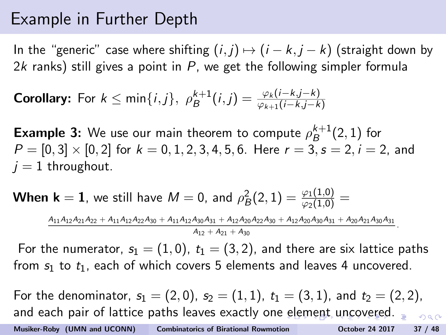In the "generic" case where shifting  $(i, j) \mapsto (i - k, j - k)$  (straight down by 2k ranks) still gives a point in  $P$ , we get the following simpler formula

**Corollary:** For 
$$
k \le \min\{i,j\}
$$
,  $\rho_B^{k+1}(i,j) = \frac{\varphi_k(i-k,j-k)}{\varphi_{k+1}(i-k,j-k)}$ 

**Example 3:** We use our main theorem to compute  $\rho_B^{k+1}$  $B^{k+1}(2,1)$  for  $P = [0, 3] \times [0, 2]$  for  $k = 0, 1, 2, 3, 4, 5, 6$ . Here  $r = 3, s = 2, i = 2$ , and  $j = 1$  throughout.

**When k**  $=$  **1**, we still have  $M = 0$ , and  $\rho_B^2(2,1) = \frac{\varphi_1(1,0)}{\varphi_2(1,0)} =$  $A_{11}A_{12}A_{21}A_{22} + A_{11}A_{12}A_{22}A_{30} + A_{11}A_{12}A_{30}A_{31} + A_{12}A_{20}A_{22}A_{30} + A_{12}A_{20}A_{30}A_{31} + A_{20}A_{21}A_{30}A_{31}$  $A_{12} + A_{21} + A_{20}$ 

For the numerator,  $s_1 = (1, 0)$ ,  $t_1 = (3, 2)$ , and there are six lattice paths from  $s_1$  to  $t_1$ , each of which covers 5 elements and leaves 4 uncovered.

For the denominator,  $s_1 = (2, 0)$ ,  $s_2 = (1, 1)$ ,  $t_1 = (3, 1)$ , and  $t_2 = (2, 2)$ , and each pair of lattice paths leaves exactly one [el](#page-88-0)[em](#page-90-0)[e](#page-85-0)[n](#page-86-0)[t](#page-97-0)[un](#page-0-0)[co](#page-113-0)[ver](#page-0-0)[ed](#page-113-0)[.](#page-0-0)  $\frac{1}{2}$ Musiker-Roby (UMN and UCONN) [Combinatorics of Birational Rowmotion](#page-0-0) October 24 2017 37 / 48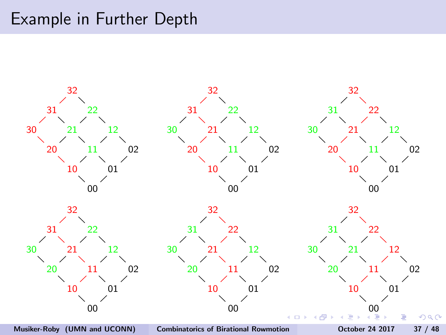<span id="page-90-0"></span>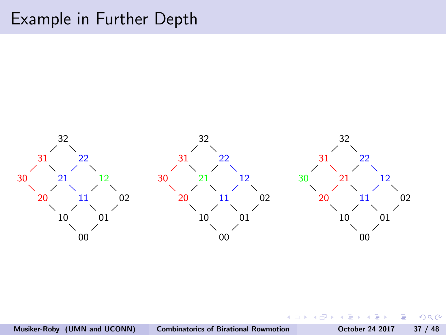

 $\leftarrow$ 

 $QQ$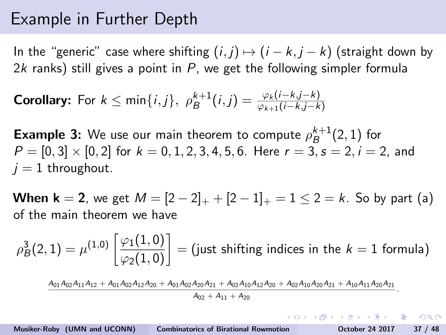<span id="page-92-0"></span>In the "generic" case where shifting  $(i, j) \mapsto (i - k, j - k)$  (straight down by 2k ranks) still gives a point in  $P$ , we get the following simpler formula

**Corollary:** For 
$$
k \le \min\{i,j\}
$$
,  $\rho_B^{k+1}(i,j) = \frac{\varphi_k(i-k,j-k)}{\varphi_{k+1}(i-k,j-k)}$ 

**Example 3:** We use our main theorem to compute  $\rho_B^{k+1}$  $B^{k+1}(2,1)$  for  $P = [0, 3] \times [0, 2]$  for  $k = 0, 1, 2, 3, 4, 5, 6$ . Here  $r = 3, s = 2, i = 2$ , and  $j = 1$  throughout.

**When k** = 2, we get  $M = \{2 - 2\}_+ + \{2 - 1\}_+ = 1 \le 2 = k$ . So by part (a) of the main theorem we have

 $\rho_B^3(2,1)=\mu^{(1,0)}\left[\frac{\varphi_1(1,0)}{\varphi_2(1,0)}\right]=($  just shifting indices in the  $k=1$  formula)

 $A_{01}A_{02}A_{11}A_{12} + A_{01}A_{02}A_{12}A_{20} + A_{01}A_{02}A_{20}A_{21} + A_{02}A_{10}A_{12}A_{20} + A_{02}A_{10}A_{20}A_{21} + A_{10}A_{11}A_{20}A_{21}$  $A_{02} + A_{11} + A_{20}$ 

Musiker-Roby (UMN and UCONN) [Combinatorics of Birational Rowmotion](#page-0-0) October 24 2017 37 / 48

**KORK EX KEY KEY YOUR** 

.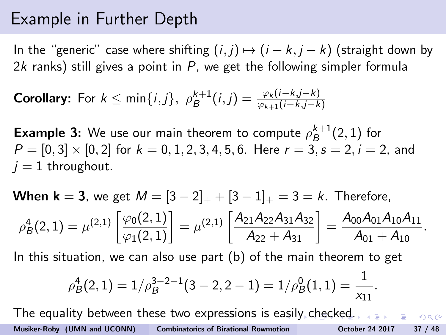<span id="page-93-0"></span>In the "generic" case where shifting  $(i, j) \mapsto (i - k, i - k)$  (straight down by 2k ranks) still gives a point in  $P$ , we get the following simpler formula

**Corollary:** For 
$$
k \le \min\{i,j\}
$$
,  $\rho_B^{k+1}(i,j) = \frac{\varphi_k(i-k,j-k)}{\varphi_{k+1}(i-k,j-k)}$ 

**Example 3:** We use our main theorem to compute  $\rho_B^{k+1}$  $B^{k+1}(2,1)$  for  $P = [0, 3] \times [0, 2]$  for  $k = 0, 1, 2, 3, 4, 5, 6$ . Here  $r = 3, s = 2, i = 2$ , and  $j = 1$  throughout.

When 
$$
\mathbf{k} = 3
$$
, we get  $M = [3 - 2]_+ + [3 - 1]_+ = 3 = k$ . Therefore,  
\n
$$
\rho_B^4(2, 1) = \mu^{(2,1)} \left[ \frac{\varphi_0(2, 1)}{\varphi_1(2, 1)} \right] = \mu^{(2,1)} \left[ \frac{A_{21}A_{22}A_{31}A_{32}}{A_{22} + A_{31}} \right] = \frac{A_{00}A_{01}A_{10}A_{11}}{A_{01} + A_{10}}.
$$

In this situation, we can also use part (b) of the main theorem to get

$$
\rho_B^4(2,1) = 1/\rho_B^{3-2-1}(3-2,2-1) = 1/\rho_B^0(1,1) = \frac{1}{x_{11}}.
$$

The equality between these two expressions is e[asi](#page-92-0)l[y](#page-94-0) [c](#page-85-0)[h](#page-86-0)[e](#page-97-0)[ck](#page-98-0)[ed](#page-0-0)[.](#page-113-0)  $OQ$ Musiker-Roby (UMN and UCONN) [Combinatorics of Birational Rowmotion](#page-0-0) October 24 2017 37 / 48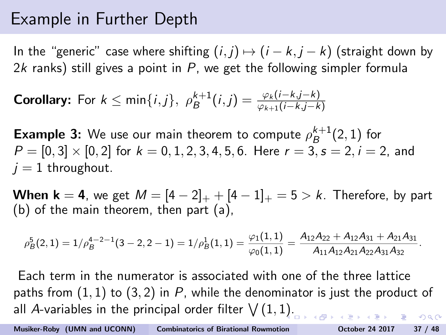<span id="page-94-0"></span>In the "generic" case where shifting  $(i, j) \mapsto (i - k, j - k)$  (straight down by 2k ranks) still gives a point in  $P$ , we get the following simpler formula

**Corollary:** For 
$$
k \le \min\{i,j\}
$$
,  $\rho_B^{k+1}(i,j) = \frac{\varphi_k(i-k,j-k)}{\varphi_{k+1}(i-k,j-k)}$ 

**Example 3:** We use our main theorem to compute  $\rho_B^{k+1}$  $B^{k+1}(2,1)$  for  $P = [0, 3] \times [0, 2]$  for  $k = 0, 1, 2, 3, 4, 5, 6$ . Here  $r = 3$ ,  $s = 2$ ,  $i = 2$ , and  $i = 1$  throughout.

**When k = 4**, we get  $M = [4 - 2]_{+} + [4 - 1]_{+} = 5 > k$ . Therefore, by part (b) of the main theorem, then part (a),

$$
\rho_B^5(2,1)=1/\rho_B^{4-2-1}(3-2,2-1)=1/\rho_B^1(1,1)=\frac{\varphi_1(1,1)}{\varphi_0(1,1)}=\frac{A_{12}A_{22}+A_{12}A_{31}+A_{21}A_{31}}{A_{11}A_{12}A_{21}A_{22}A_{31}A_{32}}.
$$

Each term in the numerator is associated with one of the three lattice paths from  $(1, 1)$  to  $(3, 2)$  in P, while the denominator is just the product of all A-variables in the principal order filter  $\bigvee (1,1).$  $\bigvee (1,1).$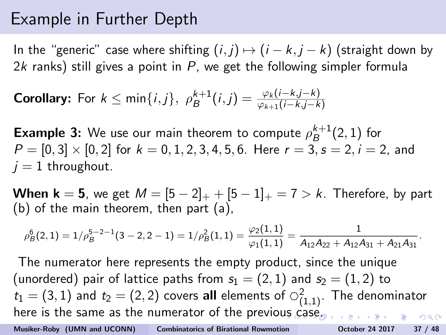In the "generic" case where shifting  $(i, j) \mapsto (i - k, j - k)$  (straight down by 2k ranks) still gives a point in  $P$ , we get the following simpler formula

**Corollary:** For 
$$
k \le \min\{i,j\}
$$
,  $\rho_B^{k+1}(i,j) = \frac{\varphi_k(i-k,j-k)}{\varphi_{k+1}(i-k,j-k)}$ 

**Example 3:** We use our main theorem to compute  $\rho_B^{k+1}$  $B^{k+1}(2,1)$  for  $P = [0, 3] \times [0, 2]$  for  $k = 0, 1, 2, 3, 4, 5, 6$ . Here  $r = 3, s = 2, i = 2$ , and  $j = 1$  throughout.

**When k = 5**, we get  $M = [5 - 2]_{+} + [5 - 1]_{+} = 7 > k$ . Therefore, by part (b) of the main theorem, then part (a),

$$
\rho_B^6(2,1)=1/\rho_B^{5-2-1}(3-2,2-1)=1/\rho_B^2(1,1)=\frac{\varphi_2(1,1)}{\varphi_1(1,1)}=\frac{1}{A_{12}A_{22}+A_{12}A_{31}+A_{21}A_{31}}.
$$

The numerator here represents the empty product, since the unique (unordered) pair of lattice paths from  $s_1 = (2, 1)$  and  $s_2 = (1, 2)$  to  $t_1 = (3,1)$  and  $t_2 = (2,2)$  covers all elements of  $\circlearrowleft_{(1,1)}^2$ . The denominator here is the same as the numerator of the previo[us](#page-94-0) [ca](#page-96-0)[se](#page-85-0)[.](#page-86-0)  $2990$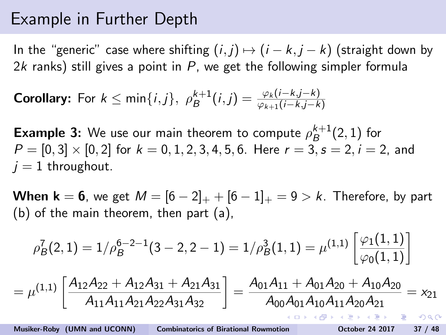<span id="page-96-0"></span>In the "generic" case where shifting  $(i, j) \mapsto (i - k, j - k)$  (straight down by 2k ranks) still gives a point in  $P$ , we get the following simpler formula

**Corollary:** For 
$$
k \le \min\{i,j\}
$$
,  $\rho_B^{k+1}(i,j) = \frac{\varphi_k(i-k,j-k)}{\varphi_{k+1}(i-k,j-k)}$ 

**Example 3:** We use our main theorem to compute  $\rho_B^{k+1}$  $B^{k+1}(2,1)$  for  $P = [0, 3] \times [0, 2]$  for  $k = 0, 1, 2, 3, 4, 5, 6$ . Here  $r = 3, s = 2, i = 2$ , and  $j = 1$  throughout.

**When k = 6**, we get  $M = [6 - 2]_{+} + [6 - 1]_{+} = 9 > k$ . Therefore, by part (b) of the main theorem, then part (a),

$$
\rho_B^7(2,1) = 1/\rho_B^{6-2-1}(3-2,2-1) = 1/\rho_B^3(1,1) = \mu^{(1,1)} \left[ \frac{\varphi_1(1,1)}{\varphi_0(1,1)} \right]
$$

$$
= \mu^{(1,1)} \left[ \frac{A_{12}A_{22} + A_{12}A_{31} + A_{21}A_{31}}{A_{11}A_{11}A_{21}A_{22}A_{31}A_{32}} \right] = \frac{A_{01}A_{11} + A_{01}A_{20} + A_{10}A_{20}}{A_{00}A_{01}A_{10}A_{11}A_{20}A_{21}} = x_{21}
$$

Musiker-Roby (UMN and UCONN) [Combinatorics of Birational Rowmotion](#page-0-0) October 24 2017 37 / 48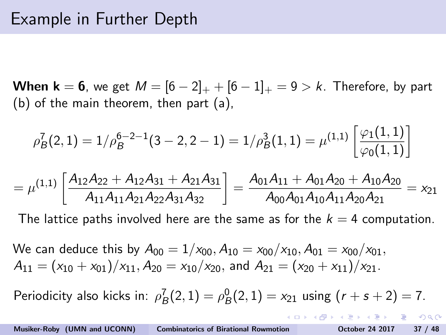<span id="page-97-0"></span>**When k = 6**, we get  $M = [6 - 2]_{+} + [6 - 1]_{+} = 9 > k$ . Therefore, by part (b) of the main theorem, then part (a),

$$
\rho_B^7(2,1) = 1/\rho_B^{6-2-1}(3-2,2-1) = 1/\rho_B^3(1,1) = \mu^{(1,1)} \left[ \frac{\varphi_1(1,1)}{\varphi_0(1,1)} \right]
$$

$$
=\mu^{(1,1)}\left[\frac{A_{12}A_{22}+A_{12}A_{31}+A_{21}A_{31}}{A_{11}A_{11}A_{21}A_{22}A_{31}A_{32}}\right]=\frac{A_{01}A_{11}+A_{01}A_{20}+A_{10}A_{20}}{A_{00}A_{01}A_{10}A_{11}A_{20}A_{21}}=x_{21}
$$

The lattice paths involved here are the same as for the  $k = 4$  computation.

We can deduce this by  $A_{00} = 1/x_{00}$ ,  $A_{10} = x_{00}/x_{10}$ ,  $A_{01} = x_{00}/x_{01}$ ,  $A_{11} = (x_{10} + x_{01})/x_{11}$ ,  $A_{20} = x_{10}/x_{20}$ , and  $A_{21} = (x_{20} + x_{11})/x_{21}$ .

Periodicity also kicks in:  $\rho_B^7(2,1) = \rho_B^0(2,1) = x_{21}$  using  $(r+s+2) = 7$ .

KEL KALE KELKELKAN KEL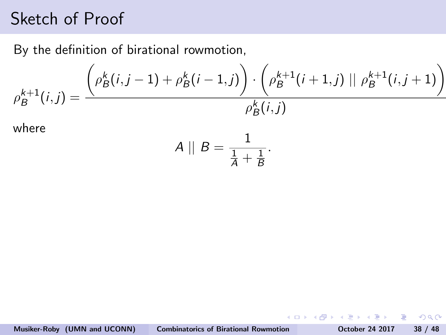<span id="page-98-0"></span>By the definition of birational rowmotion,

$$
\rho_B^{k+1}(i,j) = \frac{\left(\rho_B^k(i,j-1) + \rho_B^k(i-1,j)\right) \cdot \left(\rho_B^{k+1}(i+1,j) \mid \mid \rho_B^{k+1}(i,j+1)\right)}{\rho_B^k(i,j)}
$$

where

$$
A \parallel B = \frac{1}{\frac{1}{A} + \frac{1}{B}}.
$$

 $\equiv$ 

 $2990$ 

 $\rightarrow \equiv$ 

G B

**K ロ ▶ K 何 ▶ K**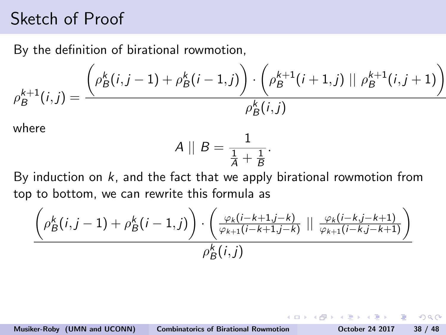By the definition of birational rowmotion,

$$
\rho_B^{k+1}(i,j) = \frac{\left(\rho_B^k(i,j-1) + \rho_B^k(i-1,j)\right) \cdot \left(\rho_B^{k+1}(i+1,j) \mid \mid \rho_B^{k+1}(i,j+1)\right)}{\rho_B^k(i,j)}
$$

where

$$
A \parallel B = \frac{1}{\frac{1}{A} + \frac{1}{B}}.
$$

By induction on  $k$ , and the fact that we apply birational rowmotion from top to bottom, we can rewrite this formula as

$$
\frac{\left(\rho_{B}^k(i,j-1)+\rho_{B}^k(i-1,j)\right)\cdot\left(\frac{\varphi_k(i-k+1,j-k)}{\varphi_{k+1}(i-k+1,j-k)}\mid\mid\frac{\varphi_k(i-k,j-k+1)}{\varphi_{k+1}(i-k,j-k+1)}\right)}{\rho_{B}^k(i,j)}
$$

重

 $\Omega$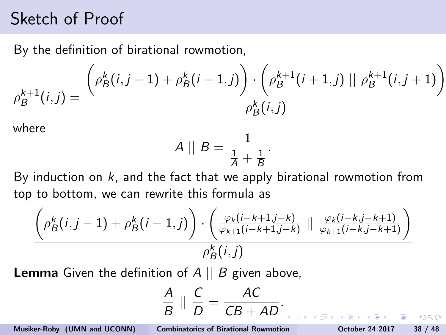By the definition of birational rowmotion,

$$
\rho_B^{k+1}(i,j) = \frac{\left(\rho_B^k(i,j-1) + \rho_B^k(i-1,j)\right) \cdot \left(\rho_B^{k+1}(i+1,j) \mid \mid \rho_B^{k+1}(i,j+1)\right)}{\rho_B^k(i,j)}
$$

where

$$
A \mid\mid B = \frac{1}{\frac{1}{A} + \frac{1}{B}}.
$$

By induction on  $k$ , and the fact that we apply birational rowmotion from top to bottom, we can rewrite this formula as

$$
\frac{\left(\rho_{B}^k(i,j-1)+\rho_{B}^k(i-1,j)\right)\cdot\left(\frac{\varphi_k(i-k+1,j-k)}{\varphi_{k+1}(i-k+1,j-k)}\mid\mid\frac{\varphi_k(i-k,j-k+1)}{\varphi_{k+1}(i-k,j-k+1)}\right)}{\rho_{B}^k(i,j)}
$$

**Lemma** Given the definition of  $A \parallel B$  given above,

$$
\frac{A}{B} \parallel \frac{C}{D} = \frac{AC}{CB + AD}.
$$

Musiker-Roby (UMN and UCONN) [Combinatorics of Birational Rowmotion](#page-0-0) October 24 2017 38 / 48

 $\equiv$  990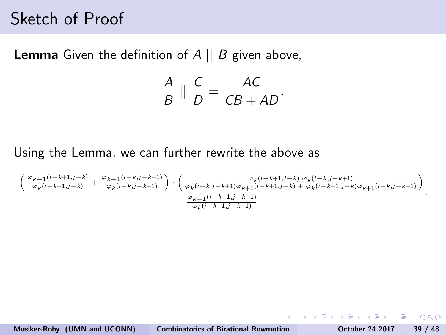**Lemma** Given the definition of  $A \parallel B$  given above,

$$
\frac{A}{B} \parallel \frac{C}{D} = \frac{AC}{CB + AD}.
$$

Using the Lemma, we can further rewrite the above as

$$
\frac{\left(\frac{\varphi_{k-1}(i-k+1,j-k)}{\varphi_k(i-k+1,j-k)}+\frac{\varphi_{k-1}(i-k,j-k+1)}{\varphi_k(i-k,j-k+1)}\right)\cdot \left(\frac{\varphi_k(i-k,j-k+1,\varphi_k(i-k+1,j-k)}{\varphi_k(i-k,j-k+1)}+\frac{\varphi_k(i-k+1,j-k)}{\varphi_k(i-k+1,j-k+1)}+\frac{\varphi_k(i-k+1,j-k)}{\varphi_k(i-k+1,j-k+1)}\right)}{\frac{\varphi_{k-1}(i-k+1,j-k+1)}{\varphi_k(i-k+1,j-k+1)}}
$$

**STAR** 

イロメ イ母メ イヨメ イヨメ

.

 $\eta$ a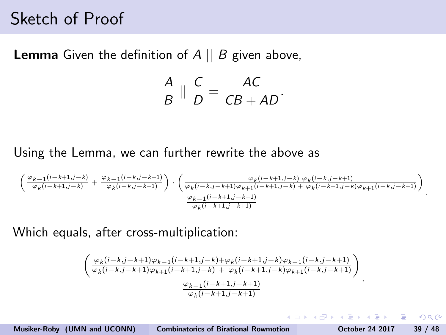**Lemma** Given the definition of  $A \parallel B$  given above,

$$
\frac{A}{B} \parallel \frac{C}{D} = \frac{AC}{CB + AD}.
$$

Using the Lemma, we can further rewrite the above as

$$
\frac{\left(\frac{\varphi_{k-1}(i-k+1,j-k)}{\varphi_k(i-k+1,j-k)}+\frac{\varphi_{k-1}(i-k,j-k+1)}{\varphi_k(i-k,j-k+1)}\right)\cdot \left(\frac{\varphi_k(i-k+1,j-k)}{\varphi_k(i-k,j-k+1)\varphi_{k+1}(i-k+1,j-k)}+\frac{\varphi_k(i-k+1,j-k)}{\varphi_k(i-k+1,j-k+1)}\right)}{\frac{\varphi_{k-1}(i-k+1,j-k+1)}{\varphi_k(i-k+1,j-k+1)}}.
$$

Which equals, after cross-multiplication:

$$
\frac{\left(\frac{\varphi_k(i-k,j-k+1)\varphi_{k-1}(i-k+1,j-k)+\varphi_k(i-k+1,j-k)\varphi_{k-1}(i-k,j-k+1)}{\varphi_k(i-k,j-k+1)\varphi_{k+1}(i-k+1,j-k)+\varphi_k(i-k+1,j-k)\varphi_{k+1}(i-k,j-k+1)}\right)}{\frac{\varphi_{k-1}(i-k+1,j-k+1)}{\varphi_k(i-k+1,j-k+1)}}
$$

Musiker-Roby (UMN and UCONN) [Combinatorics of Birational Rowmotion](#page-0-0) October 24 2017 39 / 48

- 3

 $\Omega$ 

.

イロメ イタメ イヨメ イヨ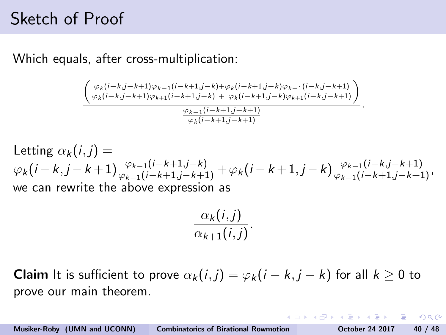Which equals, after cross-multiplication:

$$
\frac{\left(\frac{\varphi_k(i-k,j-k+1)\varphi_{k-1}(i-k+1,j-k)+\varphi_k(i-k+1,j-k)\varphi_{k-1}(i-k,j-k+1)}{\varphi_k(i-k,j-k+1)\varphi_{k+1}(i-k+1,j-k)+\varphi_k(i-k+1,j-k)\varphi_{k+1}(i-k,j-k+1)}\right)}{\frac{\varphi_{k-1}(i-k+1,j-k+1)}{\varphi_k(i-k+1,j-k+1)}}.
$$

Letting 
$$
\alpha_k(i, j) = \varphi_k(i-k+1) \frac{\varphi_{k-1}(i-k+1,j-k)}{\varphi_{k-1}(i-k+1,j-k+1)} + \varphi_k(i-k+1,j-k) \frac{\varphi_{k-1}(i-k,j-k+1)}{\varphi_{k-1}(i-k+1,j-k+1)},
$$
  
we can rewrite the above expression as

$$
\frac{\alpha_k(i,j)}{\alpha_{k+1}(i,j)}.
$$

**Claim** It is sufficient to prove  $\alpha_k(i,j) = \varphi_k(i-k,j-k)$  for all  $k \geq 0$  to prove our main theorem.

**KORK ERKER ADAM DE SORA**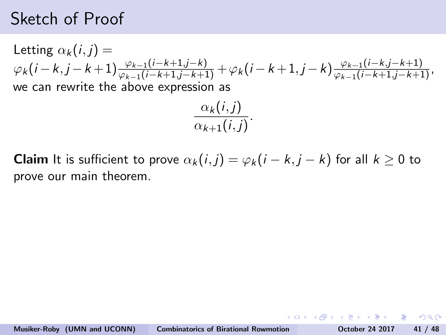<span id="page-104-0"></span>Letting  $\alpha_k(i, i) =$  $\varphi_k(i-k,j-k+1) \frac{\varphi_{k-1}(i-k+1,j-k)}{\varphi_{k-1}(i-k+1,j-k+1)} + \varphi_k(i-k+1,j-k) \frac{\varphi_{k-1}(i-k,j-k+1)}{\varphi_{k-1}(i-k+1,j-k+1)},$ we can rewrite the above expression as

$$
\frac{\alpha_k(i,j)}{\alpha_{k+1}(i,j)}.
$$

**Claim** It is sufficient to prove  $\alpha_k(i,j) = \varphi_k(i-k,j-k)$  for all  $k \geq 0$  to prove our main theorem.

 $AB + AB + AB + AB$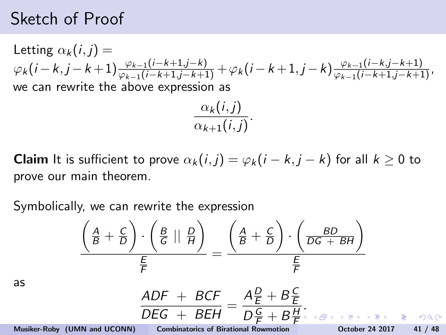Letting  $\alpha_k(i, j) =$  $\varphi_k(i-k,j-k+1) \frac{\varphi_{k-1}(i-k+1,j-k)}{\varphi_{k-1}(i-k+1,j-k+1)} + \varphi_k(i-k+1,j-k) \frac{\varphi_{k-1}(i-k,j-k+1)}{\varphi_{k-1}(i-k+1,j-k+1)},$ we can rewrite the above expression as

$$
\frac{\alpha_k(i,j)}{\alpha_{k+1}(i,j)}.
$$

**Claim** It is sufficient to prove  $\alpha_k(i,j) = \varphi_k(i-k,j-k)$  for all  $k \geq 0$  to prove our main theorem.

Symbolically, we can rewrite the expression

$$
\frac{\left(\frac{A}{B} + \frac{C}{D}\right) \cdot \left(\frac{B}{G} \parallel \frac{D}{H}\right)}{\frac{E}{F}} = \frac{\left(\frac{A}{B} + \frac{C}{D}\right) \cdot \left(\frac{BD}{DG + BH}\right)}{\frac{E}{F}}
$$
\n
$$
\frac{ADF + BCF}{DEG + BEH} = \frac{A\frac{D}{E} + B\frac{C}{E}}{D\frac{C}{E} + B\frac{H}{E}}.
$$

E

[.](#page-106-0)

as

Musiker-Roby (UMN and UCONN) [Combinatorics of Birational Rowmotion](#page-0-0) October 24 2017 41 / 48

 $D\frac{G}{F}+B\frac{H}{F}$  $D\frac{G}{F}+B\frac{H}{F}$  $D\frac{G}{F}+B\frac{H}{F}$ F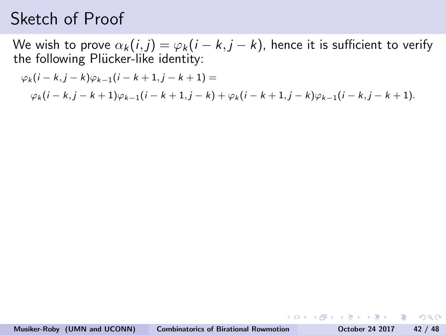<span id="page-106-0"></span>We wish to prove  $\alpha_k(i,j) = \varphi_k(i-k,j-k)$ , hence it is sufficient to verify the following Plücker-like identity:

$$
\varphi_k(i-k,j-k)\varphi_{k-1}(i-k+1,j-k+1) =
$$
  
 
$$
\varphi_k(i-k,j-k+1)\varphi_{k-1}(i-k+1,j-k) + \varphi_k(i-k+1,j-k)\varphi_{k-1}(i-k,j-k+1).
$$

KED KAP KED KED E LOQO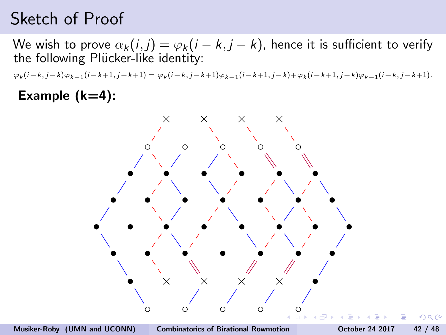We wish to prove  $\alpha_k(i,j) = \varphi_k(i-k,j-k)$ , hence it is sufficient to verify the following Plücker-like identity:

 $\varphi_k(i-k,j-k)\varphi_{k-1}(i-k+1,j-k+1) = \varphi_k(i-k,j-k+1)\varphi_{k-1}(i-k+1,j-k) + \varphi_k(i-k+1,j-k)\varphi_{k-1}(i-k,j-k+1).$ 

#### Example  $(k=4)$ :

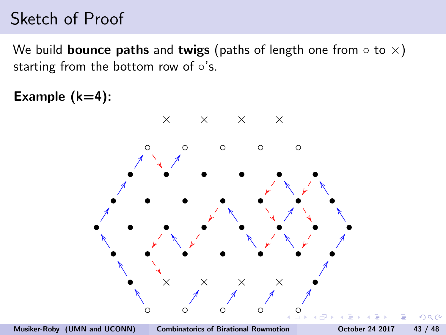<span id="page-108-0"></span>We build **bounce paths** and **twigs** (paths of length one from  $\circ$  to  $\times$ ) starting from the bottom row of ∘'s.

Example  $(k=4)$ :

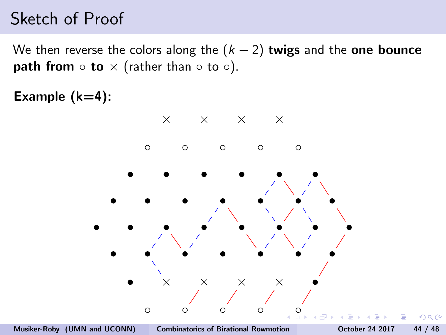<span id="page-109-0"></span>We then reverse the colors along the  $(k-2)$  twigs and the one bounce **path from**  $\circ$  **to**  $\times$  (rather than  $\circ$  to  $\circ$ ).

Example  $(k=4)$ :

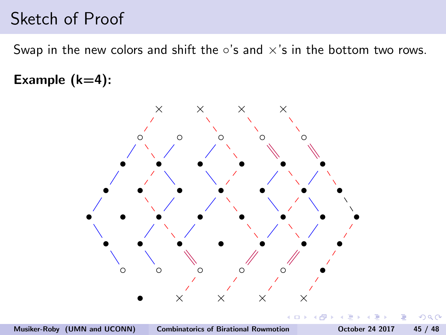<span id="page-110-0"></span>Swap in the new colors and shift the  $\circ$ 's and  $\times$ 's in the bottom two rows.

Example  $(k=4)$ :



つくい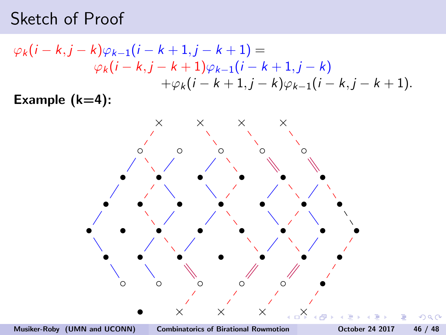$$
\varphi_k(i-k,j-k)\varphi_{k-1}(i-k+1,j-k+1) =
$$
  
\n
$$
\varphi_k(i-k,j-k+1)\varphi_{k-1}(i-k+1,j-k)
$$
  
\n
$$
+\varphi_k(i-k+1,j-k)\varphi_{k-1}(i-k,j-k+1).
$$
  
\nExample (k=4):

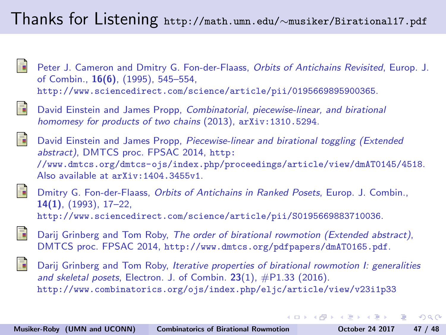#### <span id="page-112-0"></span>Thanks for Listening http://math.umn.edu/∼musiker/Birational17.pdf

- Peter J. Cameron and Dmitry G. Fon-der-Flaass, Orbits of Antichains Revisited, Europ. J. of Combin., 16(6), (1995), 545–554, <http://www.sciencedirect.com/science/article/pii/0195669895900365>.
- 
- David Einstein and James Propp, Combinatorial, piecewise-linear, and birational homomesy for products of two chains (2013),  $arXiv:1310.5294$ .
- David Einstein and James Propp, Piecewise-linear and birational toggling (Extended abstract), DMTCS proc. FPSAC 2014, [http:](http://www.dmtcs.org/dmtcs-ojs/index.php/proceedings/article/view/dmAT0145/4518) [//www.dmtcs.org/dmtcs-ojs/index.php/proceedings/article/view/dmAT0145/4518](http://www.dmtcs.org/dmtcs-ojs/index.php/proceedings/article/view/dmAT0145/4518). Also available at [arXiv:1404.3455v1](http://arxiv.org/abs/1404.3455v1).
- 
- Dmitry G. Fon-der-Flaass, Orbits of Antichains in Ranked Posets, Europ. J. Combin., 14(1), (1993), 17–22, <http://www.sciencedirect.com/science/article/pii/S0195669883710036>.
- 
- Darij Grinberg and Tom Roby, The order of birational rowmotion (Extended abstract), DMTCS proc. FPSAC 2014, <http://www.dmtcs.org/pdfpapers/dmAT0165.pdf>.
- Darij Grinberg and Tom Roby, Iterative properties of birational rowmotion I: generalities and skeletal posets, Electron. J. of Combin.  $23(1)$ ,  $\#P1.33$  (2016). <http://www.combinatorics.org/ojs/index.php/eljc/article/view/v23i1p33>

 $200$ 

イロメ イ母メ イヨメ イヨメーヨ